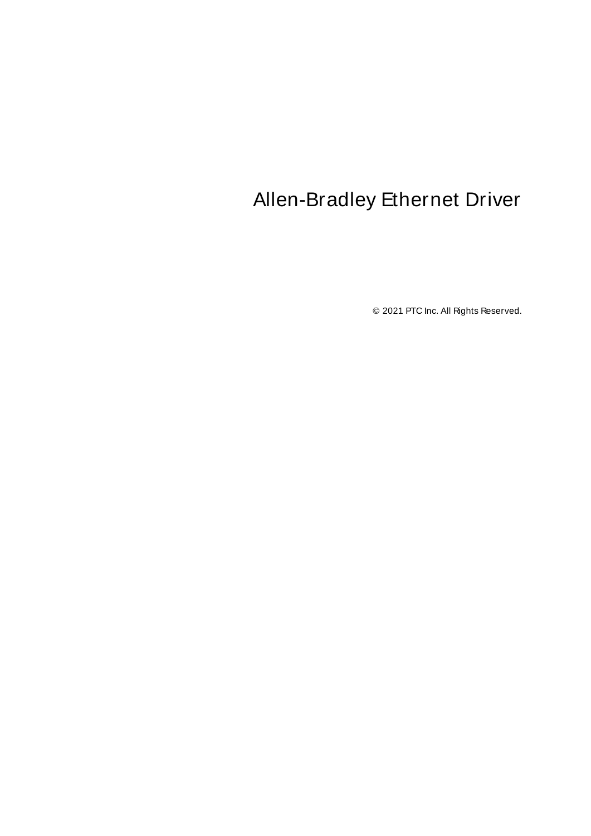# <span id="page-0-0"></span>Allen-Bradley Ethernet Driver

© 2021 PTC Inc. All Rights Reserved.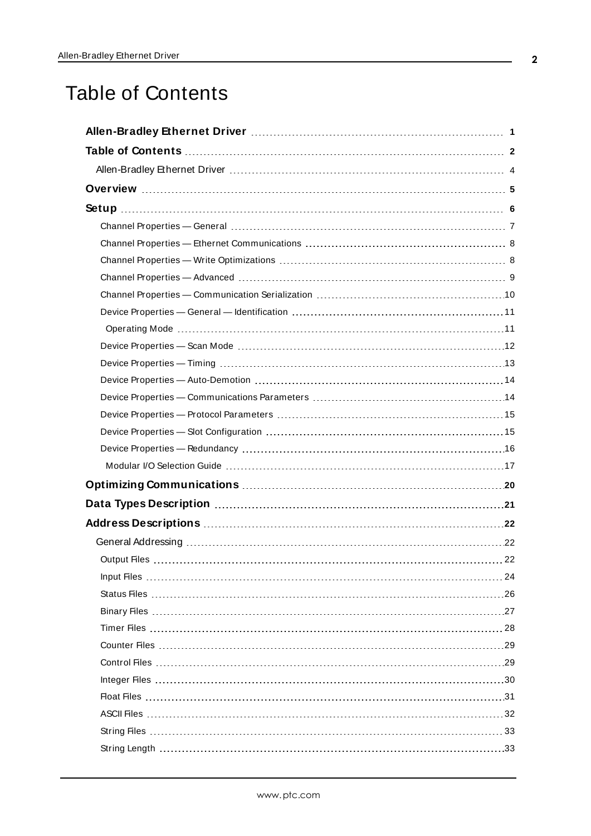# <span id="page-1-0"></span>Table of Contents

| Data Types Description manufacture and the control of the Caroline Control of the Caroline Control of the Caro |  |
|----------------------------------------------------------------------------------------------------------------|--|
|                                                                                                                |  |
|                                                                                                                |  |
|                                                                                                                |  |
|                                                                                                                |  |
|                                                                                                                |  |
|                                                                                                                |  |
|                                                                                                                |  |
|                                                                                                                |  |
|                                                                                                                |  |
|                                                                                                                |  |
|                                                                                                                |  |
|                                                                                                                |  |
|                                                                                                                |  |
|                                                                                                                |  |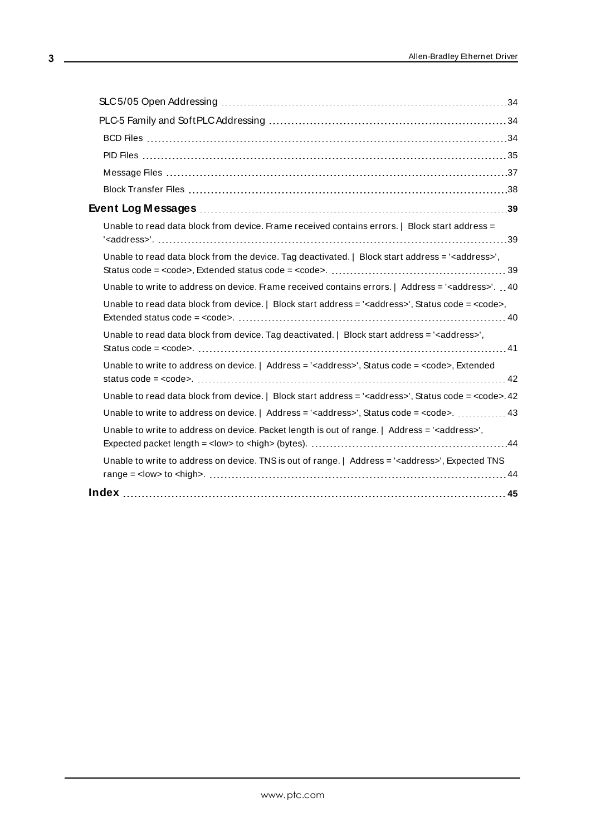| Unable to read data block from device. Frame received contains errors.   Block start address =                        |  |
|-----------------------------------------------------------------------------------------------------------------------|--|
| Unable to read data block from the device. Tag deactivated.   Block start address = ' <address>',</address>           |  |
| Unable to write to address on device. Frame received contains errors.   Address = ' <address>'40</address>            |  |
| Unable to read data block from device.   Block start address = ' <address>', Status code = <code>,</code></address>   |  |
| Unable to read data block from device. Tag deactivated.   Block start address = ' <address>',</address>               |  |
| Unable to write to address on device.   Address = ' <address>', Status code = <code>, Extended</code></address>       |  |
| Unable to read data block from device.   Block start address = ' <address>', Status code = <code>.42</code></address> |  |
| Unable to write to address on device.   Address = ' <address>', Status code = <code>.  43</code></address>            |  |
| Unable to write to address on device. Packet length is out of range.   Address = ' <address>',</address>              |  |
| Unable to write to address on device. TNS is out of range.   Address = ' <address>', Expected TNS</address>           |  |
|                                                                                                                       |  |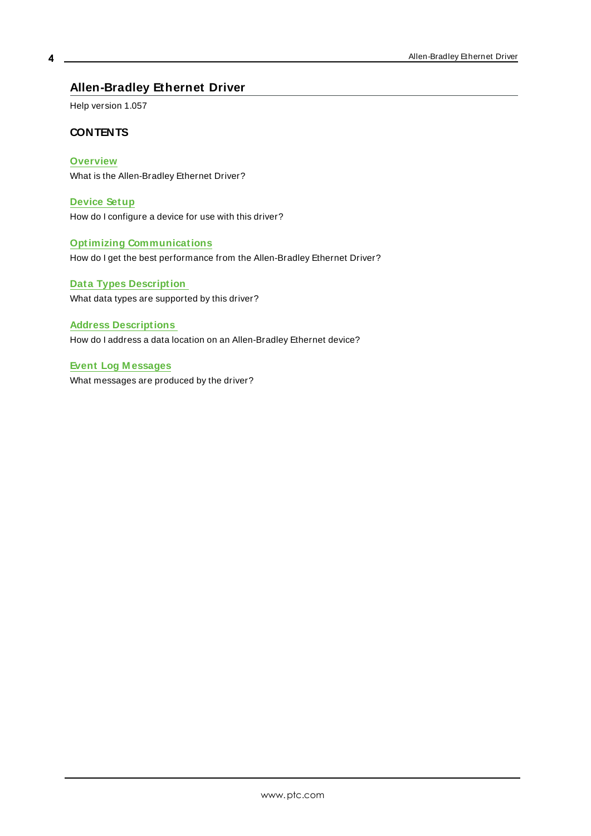## <span id="page-3-0"></span>**Allen-Bradley Ethernet Driver**

Help version 1.057

#### **CONTENTS**

**[Overview](#page-4-0)** What is the Allen-Bradley Ethernet Driver?

**[Device](#page-5-0) Setup** How do I configure a device for use with this driver?

**Optimizing [Communications](#page-19-0)** How do I get the best performance from the Allen-Bradley Ethernet Driver?

**Data Types [Description](#page-20-0)** What data types are supported by this driver?

**Address [Descriptions](#page-21-0)** How do I address a data location on an Allen-Bradley Ethernet device?

**Event Log [M essages](#page-38-1)** What messages are produced by the driver?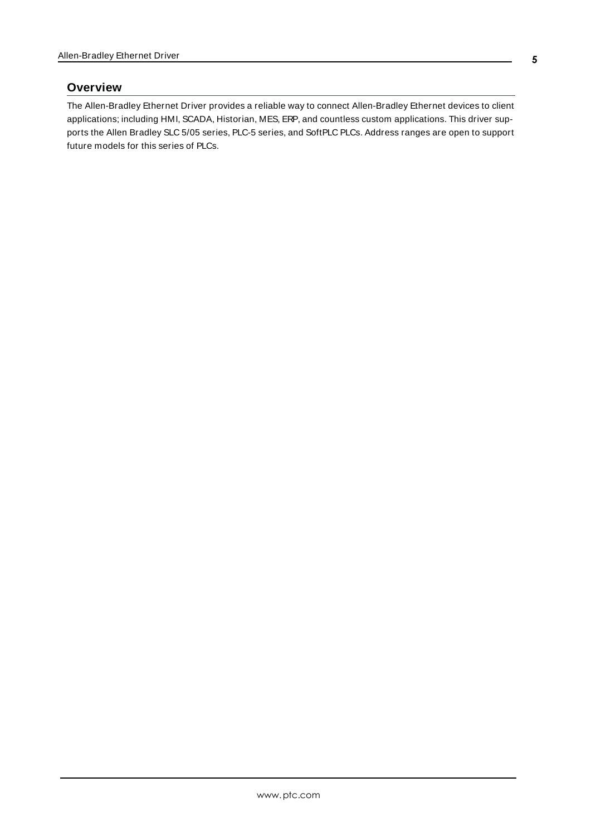#### <span id="page-4-0"></span>**Overview**

The Allen-Bradley Ethernet Driver provides a reliable way to connect Allen-Bradley Ethernet devices to client applications; including HMI, SCADA, Historian, MES, ERP, and countless custom applications. This driver supports the Allen Bradley SLC 5/05 series, PLC-5 series, and SoftPLC PLCs. Address ranges are open to support future models for this series of PLCs.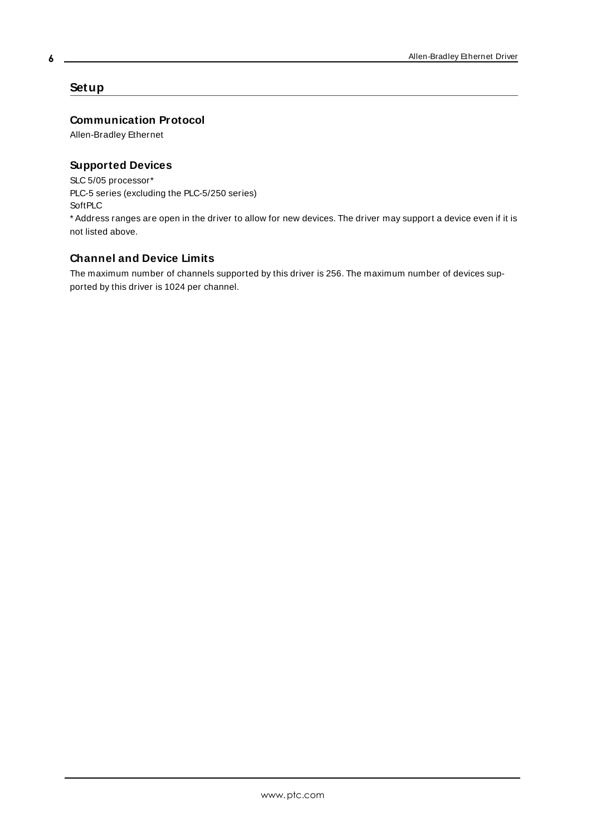### <span id="page-5-0"></span>**Setup**

#### **Communication Protocol**

Allen-Bradley Ethernet

### **Supported Devices**

SLC 5/05 processor\* PLC-5 series (excluding the PLC-5/250 series) **SoftPLC** \* Address ranges are open in the driver to allow for new devices. The driver may support a device even if it is not listed above.

## **Channel and Device Limits**

The maximum number of channels supported by this driver is 256. The maximum number of devices supported by this driver is 1024 per channel.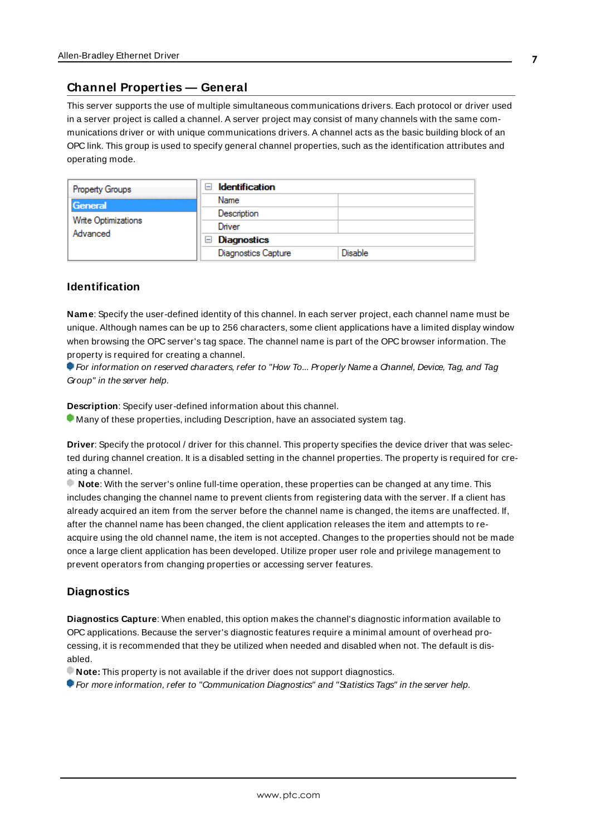#### <span id="page-6-0"></span>**Channel Properties — General**

This server supports the use of multiple simultaneous communications drivers. Each protocol or driver used in a server project is called a channel. A server project may consist of many channels with the same communications driver or with unique communications drivers. A channel acts as the basic building block of an OPC link. This group is used to specify general channel properties, such as the identification attributes and operating mode.

| <b>Property Groups</b>          | <b>Identification</b><br>$\overline{\phantom{0}}$ |                |
|---------------------------------|---------------------------------------------------|----------------|
| General                         | Name                                              |                |
|                                 | Description                                       |                |
| Write Optimizations<br>Advanced | Driver                                            |                |
|                                 | $\Box$ Diagnostics                                |                |
|                                 | <b>Diagnostics Capture</b>                        | <b>Disable</b> |

#### **Identification**

**Name**: Specify the user-defined identity of this channel. In each server project, each channel name must be unique. Although names can be up to 256 characters, some client applications have a limited display window when browsing the OPC server's tag space. The channel name is part of the OPC browser information. The property is required for creating a channel.

For information on reserved characters, refer to "How To... Properly Name a Channel, Device, Tag, and Tag Group" in the server help.

**Description**: Specify user-defined information about this channel.

Many of these properties, including Description, have an associated system tag.

**Driver**: Specify the protocol / driver for this channel. This property specifies the device driver that was selected during channel creation. It is a disabled setting in the channel properties. The property is required for creating a channel.

**Note**: With the server's online full-time operation, these properties can be changed at any time. This includes changing the channel name to prevent clients from registering data with the server. If a client has already acquired an item from the server before the channel name is changed, the items are unaffected. If, after the channel name has been changed, the client application releases the item and attempts to reacquire using the old channel name, the item is not accepted. Changes to the properties should not be made once a large client application has been developed. Utilize proper user role and privilege management to prevent operators from changing properties or accessing server features.

#### **Diagnostics**

**Diagnostics Capture**: When enabled, this option makes the channel's diagnostic information available to OPC applications. Because the server's diagnostic features require a minimal amount of overhead processing, it is recommended that they be utilized when needed and disabled when not. The default is disabled.

**Note:** This property is not available if the driver does not support diagnostics.

For more information, refer to "Communication Diagnostics" and "Statistics Tags" in the server help.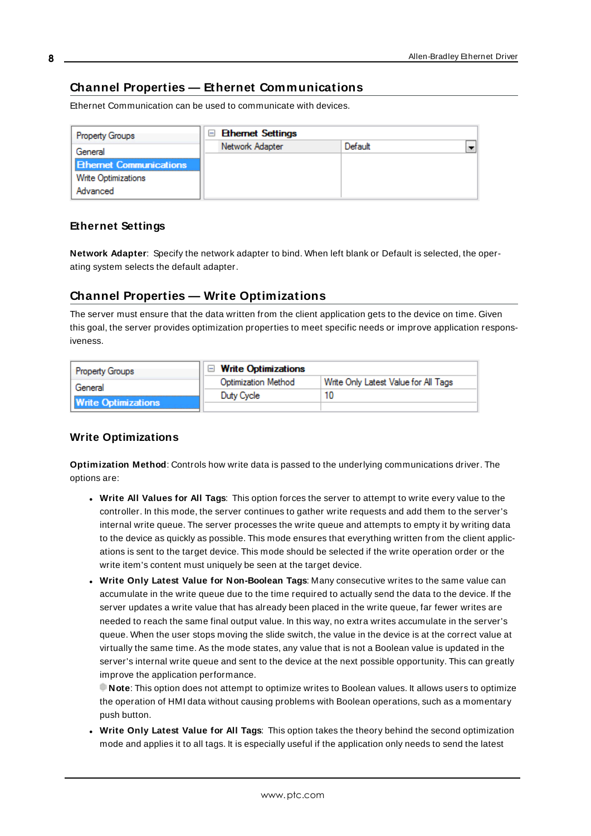# <span id="page-7-0"></span>**Channel Properties — Ethernet Communications**

Ethernet Communication can be used to communicate with devices.

| <b>Property Groups</b>         | <b>Ethemet Settings</b> |         |                          |
|--------------------------------|-------------------------|---------|--------------------------|
| General                        | Network Adapter         | Default | $\overline{\phantom{0}}$ |
| <b>Ethernet Communications</b> |                         |         |                          |
| <b>Write Optimizations</b>     |                         |         |                          |
| Advanced                       |                         |         |                          |

#### **Ethernet Settings**

**Network Adapter**: Specify the network adapter to bind. When left blank or Default is selected, the operating system selects the default adapter.

## <span id="page-7-1"></span>**Channel Properties — Write Optimizations**

The server must ensure that the data written from the client application gets to the device on time. Given this goal, the server provides optimization properties to meet specific needs or improve application responsiveness.

| <b>Property Groups</b>     | $\Box$ Write Optimizations |                                      |
|----------------------------|----------------------------|--------------------------------------|
| General                    | <b>Optimization Method</b> | Write Only Latest Value for All Tags |
|                            | Duty Cycle                 |                                      |
| <b>Write Optimizations</b> |                            |                                      |

#### **Write Optimizations**

**Optimization Method**: Controls how write data is passed to the underlying communications driver. The options are:

- <sup>l</sup> **Write All Values for All Tags**: This option forces the server to attempt to write every value to the controller. In this mode, the server continues to gather write requests and add them to the server's internal write queue. The server processes the write queue and attempts to empty it by writing data to the device as quickly as possible. This mode ensures that everything written from the client applications is sent to the target device. This mode should be selected if the write operation order or the write item's content must uniquely be seen at the target device.
- <sup>l</sup> **Write Only Latest Value for Non-Boolean Tags**: Many consecutive writes to the same value can accumulate in the write queue due to the time required to actually send the data to the device. If the server updates a write value that has already been placed in the write queue, far fewer writes are needed to reach the same final output value. In this way, no extra writes accumulate in the server's queue. When the user stops moving the slide switch, the value in the device is at the correct value at virtually the same time. As the mode states, any value that is not a Boolean value is updated in the server's internal write queue and sent to the device at the next possible opportunity. This can greatly improve the application performance.

**Note**: This option does not attempt to optimize writes to Boolean values. It allows users to optimize the operation of HMI data without causing problems with Boolean operations, such as a momentary push button.

<sup>l</sup> **Write Only Latest Value for All Tags**: This option takes the theory behind the second optimization mode and applies it to all tags. It is especially useful if the application only needs to send the latest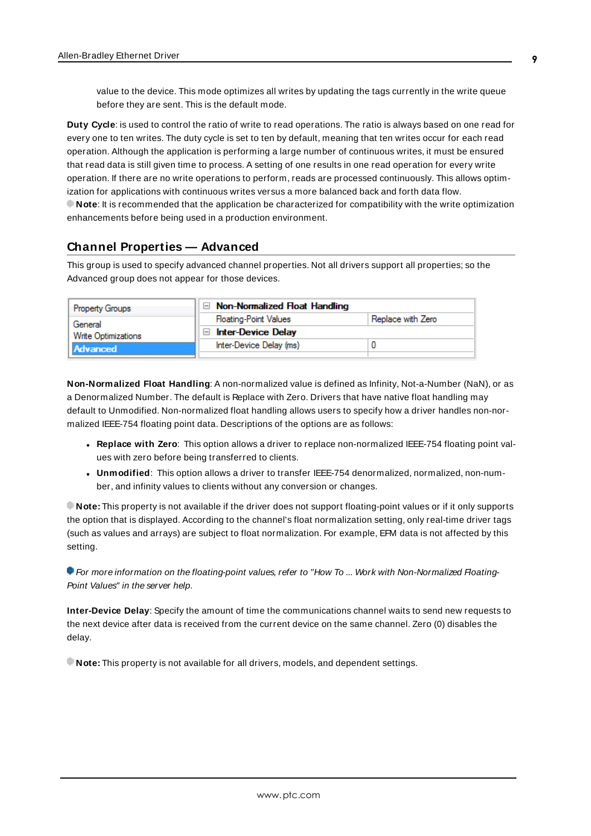value to the device. This mode optimizes all writes by updating the tags currently in the write queue before they are sent. This is the default mode.

**Duty Cycle**: is used to control the ratio of write to read operations. The ratio is always based on one read for every one to ten writes. The duty cycle is set to ten by default, meaning that ten writes occur for each read operation. Although the application is performing a large number of continuous writes, it must be ensured that read data is still given time to process. A setting of one results in one read operation for every write operation. If there are no write operations to perform, reads are processed continuously. This allows optimization for applications with continuous writes versus a more balanced back and forth data flow. **Note**: It is recommended that the application be characterized for compatibility with the write optimization enhancements before being used in a production environment.

#### <span id="page-8-0"></span>**Channel Properties — Advanced**

This group is used to specify advanced channel properties. Not all drivers support all properties; so the Advanced group does not appear for those devices.

| <b>Property Groups</b> | $\Box$ Non-Normalized Float Handling |                   |
|------------------------|--------------------------------------|-------------------|
| General                | <b>Floating-Point Values</b>         | Replace with Zero |
| Write Optimizations    | <b>Inter-Device Delay</b>            |                   |
| <b>Advanced</b>        | Inter-Device Delay (ms)              |                   |
|                        |                                      |                   |

**Non-Normalized Float Handling**: A non-normalized value is defined as Infinity, Not-a-Number (NaN), or as a Denormalized Number. The default is Replace with Zero. Drivers that have native float handling may default to Unmodified. Non-normalized float handling allows users to specify how a driver handles non-normalized IEEE-754 floating point data. Descriptions of the options are as follows:

- <sup>l</sup> **Replace with Zero**: This option allows a driver to replace non-normalized IEEE-754 floating point values with zero before being transferred to clients.
- <sup>l</sup> **Unmodified**: This option allows a driver to transfer IEEE-754 denormalized, normalized, non-number, and infinity values to clients without any conversion or changes.

**Note:** This property is not available if the driver does not support floating-point values or if it only supports the option that is displayed. According to the channel's float normalization setting, only real-time driver tags (such as values and arrays) are subject to float normalization. For example, EFM data is not affected by this setting.

For more information on the floating-point values, refer to "How To ... Work with Non-Normalized Floating-Point Values" in the server help.

**Inter-Device Delay**: Specify the amount of time the communications channel waits to send new requests to the next device after data is received from the current device on the same channel. Zero (0) disables the delay.

**Note:** This property is not available for all drivers, models, and dependent settings.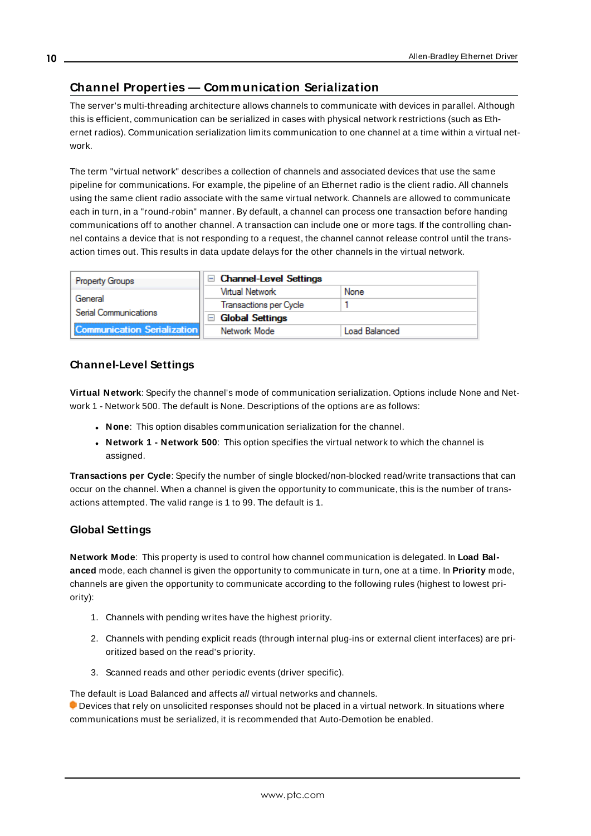# <span id="page-9-0"></span>**Channel Properties — Communication Serialization**

The server's multi-threading architecture allows channels to communicate with devices in parallel. Although this is efficient, communication can be serialized in cases with physical network restrictions (such as Ethernet radios). Communication serialization limits communication to one channel at a time within a virtual network.

The term "virtual network" describes a collection of channels and associated devices that use the same pipeline for communications. For example, the pipeline of an Ethernet radio is the client radio. All channels using the same client radio associate with the same virtual network. Channels are allowed to communicate each in turn, in a "round-robin" manner. By default, a channel can process one transaction before handing communications off to another channel. A transaction can include one or more tags. If the controlling channel contains a device that is not responding to a request, the channel cannot release control until the transaction times out. This results in data update delays for the other channels in the virtual network.

| <b>Property Groups</b>             | □ Channel-Level Settings |                      |
|------------------------------------|--------------------------|----------------------|
|                                    | Virtual Network          | None                 |
| General                            | Transactions per Cycle   |                      |
| Serial Communications              | $\Box$ Global Settings   |                      |
| <b>Communication Serialization</b> | Network Mode             | <b>Load Balanced</b> |

## **Channel-Level Settings**

**Virtual Network**: Specify the channel's mode of communication serialization. Options include None and Network 1 - Network 500. The default is None. Descriptions of the options are as follows:

- **None**: This option disables communication serialization for the channel.
- <sup>l</sup> **Network 1 - Network 500**: This option specifies the virtual network to which the channel is assigned.

**Transactions per Cycle**: Specify the number of single blocked/non-blocked read/write transactions that can occur on the channel. When a channel is given the opportunity to communicate, this is the number of transactions attempted. The valid range is 1 to 99. The default is 1.

#### **Global Settings**

**Network Mode**: This property is used to control how channel communication is delegated. In **Load Balanced** mode, each channel is given the opportunity to communicate in turn, one at a time. In **Priority** mode, channels are given the opportunity to communicate according to the following rules (highest to lowest priority):

- 1. Channels with pending writes have the highest priority.
- 2. Channels with pending explicit reads (through internal plug-ins or external client interfaces) are prioritized based on the read's priority.
- 3. Scanned reads and other periodic events (driver specific).

The default is Load Balanced and affects all virtual networks and channels.

 Devices that rely on unsolicited responses should not be placed in a virtual network. In situations where communications must be serialized, it is recommended that Auto-Demotion be enabled.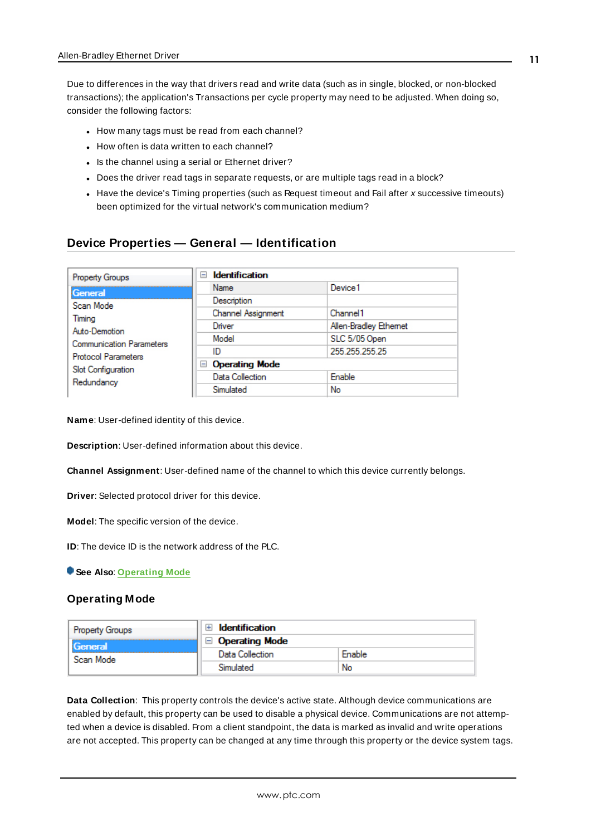Due to differences in the way that drivers read and write data (such as in single, blocked, or non-blocked transactions); the application's Transactions per cycle property may need to be adjusted. When doing so, consider the following factors:

- How many tags must be read from each channel?
- How often is data written to each channel?
- Is the channel using a serial or Ethernet driver?
- Does the driver read tags in separate requests, or are multiple tags read in a block?
- Have the device's Timing properties (such as Request timeout and Fail after x successive timeouts) been optimized for the virtual network's communication medium?

#### <span id="page-10-0"></span>**Device Properties — General — Identification**

| <b>Identification</b><br>$\Box$ |                       |
|---------------------------------|-----------------------|
| Name                            | Device1               |
| Description                     |                       |
| Channel Assignment              | Channel 1             |
| Driver                          | Allen-Bradley Ethemet |
| Model                           | SLC 5/05 Open         |
| ID                              | 255 255 255 25        |
| <b>Operating Mode</b><br>$=$    |                       |
| Data Collection                 | Enable                |
| Simulated                       | No                    |
|                                 |                       |

**Name**: User-defined identity of this device.

<span id="page-10-2"></span>**Description**: User-defined information about this device.

<span id="page-10-4"></span>**Channel Assignment**: User-defined name of the channel to which this device currently belongs.

<span id="page-10-6"></span>**Driver**: Selected protocol driver for this device.

<span id="page-10-5"></span>**Model**: The specific version of the device.

**ID**: The device ID is the network address of the PLC.

<span id="page-10-1"></span>**See Also**: **[Operating](#page-10-1) Mode**

#### **Operating Mode**

| <b>Property Groups</b> | <b>Identification</b><br>$\overline{+}$ |        |
|------------------------|-----------------------------------------|--------|
| <b>General</b>         | <b>Operating Mode</b>                   |        |
| Scan Mode              | Data Collection                         | Enable |
|                        | Simulated                               | No     |

<span id="page-10-3"></span>**Data Collection**: This property controls the device's active state. Although device communications are enabled by default, this property can be used to disable a physical device. Communications are not attempted when a device is disabled. From a client standpoint, the data is marked as invalid and write operations are not accepted. This property can be changed at any time through this property or the device system tags.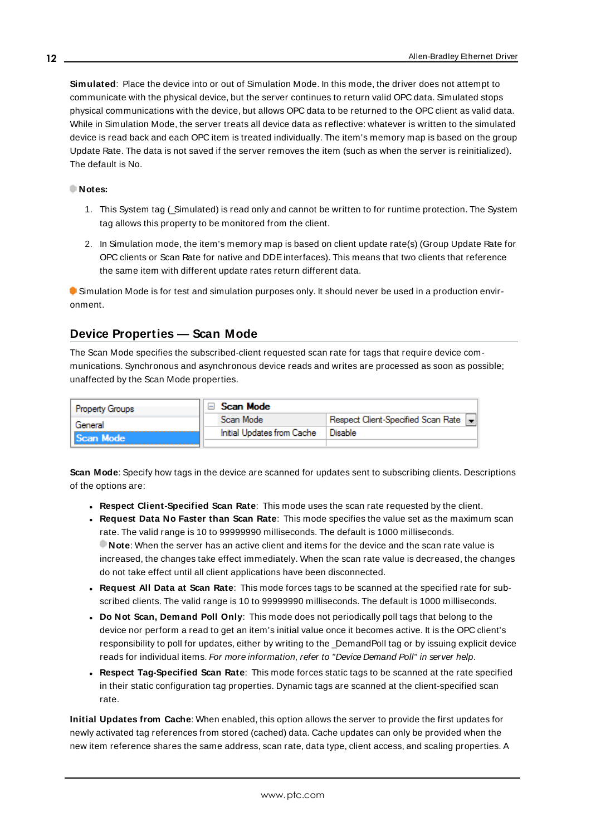<span id="page-11-4"></span>**Simulated**: Place the device into or out of Simulation Mode. In this mode, the driver does not attempt to communicate with the physical device, but the server continues to return valid OPC data. Simulated stops physical communications with the device, but allows OPC data to be returned to the OPC client as valid data. While in Simulation Mode, the server treats all device data as reflective: whatever is written to the simulated device is read back and each OPC item is treated individually. The item's memory map is based on the group Update Rate. The data is not saved if the server removes the item (such as when the server is reinitialized). The default is No.

#### **Notes:**

- 1. This System tag (\_Simulated) is read only and cannot be written to for runtime protection. The System tag allows this property to be monitored from the client.
- 2. In Simulation mode, the item's memory map is based on client update rate(s) (Group Update Rate for OPC clients or Scan Rate for native and DDEinterfaces). This means that two clients that reference the same item with different update rates return different data.

 Simulation Mode is for test and simulation purposes only. It should never be used in a production environment.

## <span id="page-11-0"></span>**Device Properties — Scan Mode**

The Scan Mode specifies the subscribed-client requested scan rate for tags that require device communications. Synchronous and asynchronous device reads and writes are processed as soon as possible; unaffected by the Scan Mode properties.

| <b>Property Groups</b> | □ Scan Mode                |                                      |
|------------------------|----------------------------|--------------------------------------|
| General                | Scan Mode                  | Respect Client-Specified Scan Rate v |
| Scan Mode              | Initial Updates from Cache | Disable                              |
|                        |                            |                                      |

<span id="page-11-3"></span>**Scan Mode**: Specify how tags in the device are scanned for updates sent to subscribing clients. Descriptions of the options are:

- <sup>l</sup> **Respect Client-Specified Scan Rate**: This mode uses the scan rate requested by the client.
- <sup>l</sup> **Request Data No Faster than Scan Rate**: This mode specifies the value set as the maximum scan rate. The valid range is 10 to 99999990 milliseconds. The default is 1000 milliseconds. **Note**: When the server has an active client and items for the device and the scan rate value is increased, the changes take effect immediately. When the scan rate value is decreased, the changes do not take effect until all client applications have been disconnected.
- <sup>l</sup> **Request All Data at Scan Rate**: This mode forces tags to be scanned at the specified rate for subscribed clients. The valid range is 10 to 99999990 milliseconds. The default is 1000 milliseconds.
- <span id="page-11-1"></span><sup>l</sup> **Do Not Scan, Demand Poll Only**: This mode does not periodically poll tags that belong to the device nor perform a read to get an item's initial value once it becomes active. It is the OPC client's responsibility to poll for updates, either by writing to the \_DemandPoll tag or by issuing explicit device reads for individual items. For more information, refer to "Device Demand Poll" in server help.
- <span id="page-11-2"></span><sup>l</sup> **Respect Tag-Specified Scan Rate**: This mode forces static tags to be scanned at the rate specified in their static configuration tag properties. Dynamic tags are scanned at the client-specified scan rate.

**Initial Updates from Cache**: When enabled, this option allows the server to provide the first updates for newly activated tag references from stored (cached) data. Cache updates can only be provided when the new item reference shares the same address, scan rate, data type, client access, and scaling properties. A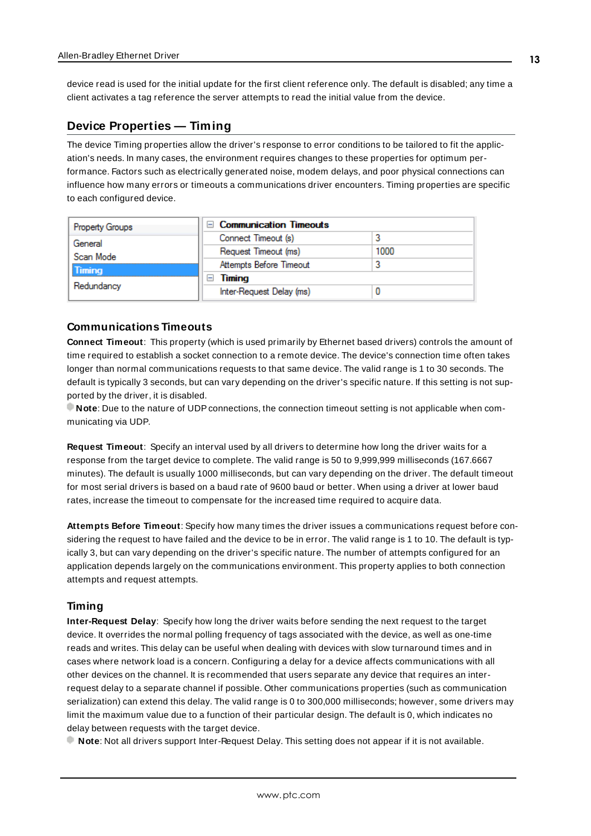<span id="page-12-4"></span>device read is used for the initial update for the first client reference only. The default is disabled; any time a client activates a tag reference the server attempts to read the initial value from the device.

### <span id="page-12-2"></span><span id="page-12-0"></span>**Device Properties — Timing**

The device Timing properties allow the driver's response to error conditions to be tailored to fit the application's needs. In many cases, the environment requires changes to these properties for optimum performance. Factors such as electrically generated noise, modem delays, and poor physical connections can influence how many errors or timeouts a communications driver encounters. Timing properties are specific to each configured device.

| <b>Property Groups</b> | $\Box$ Communication Timeouts |      |
|------------------------|-------------------------------|------|
| General                | Connect Timeout (s)           |      |
| Scan Mode              | Request Timeout (ms)          | 1000 |
| <b>Timing</b>          | Attempts Before Timeout       |      |
|                        | Timing                        |      |
| Redundancy             | Inter-Request Delay (ms)      |      |

#### <span id="page-12-3"></span>**Communications Timeouts**

**Connect Timeout**: This property (which is used primarily by Ethernet based drivers) controls the amount of time required to establish a socket connection to a remote device. The device's connection time often takes longer than normal communications requests to that same device. The valid range is 1 to 30 seconds. The default is typically 3 seconds, but can vary depending on the driver's specific nature. If this setting is not supported by the driver, it is disabled.

**Note**: Due to the nature of UDPconnections, the connection timeout setting is not applicable when communicating via UDP.

<span id="page-12-6"></span>**Request Timeout**: Specify an interval used by all drivers to determine how long the driver waits for a response from the target device to complete. The valid range is 50 to 9,999,999 milliseconds (167.6667 minutes). The default is usually 1000 milliseconds, but can vary depending on the driver. The default timeout for most serial drivers is based on a baud rate of 9600 baud or better. When using a driver at lower baud rates, increase the timeout to compensate for the increased time required to acquire data.

<span id="page-12-1"></span>**Attempts Before Timeout**: Specify how many times the driver issues a communications request before considering the request to have failed and the device to be in error. The valid range is 1 to 10. The default is typically 3, but can vary depending on the driver's specific nature. The number of attempts configured for an application depends largely on the communications environment. This property applies to both connection attempts and request attempts.

#### <span id="page-12-5"></span>**Timing**

**Inter-Request Delay**: Specify how long the driver waits before sending the next request to the target device. It overrides the normal polling frequency of tags associated with the device, as well as one-time reads and writes. This delay can be useful when dealing with devices with slow turnaround times and in cases where network load is a concern. Configuring a delay for a device affects communications with all other devices on the channel. It is recommended that users separate any device that requires an interrequest delay to a separate channel if possible. Other communications properties (such as communication serialization) can extend this delay. The valid range is 0 to 300,000 milliseconds; however, some drivers may limit the maximum value due to a function of their particular design. The default is 0, which indicates no delay between requests with the target device.

**Note**: Not all drivers support Inter-Request Delay. This setting does not appear if it is not available.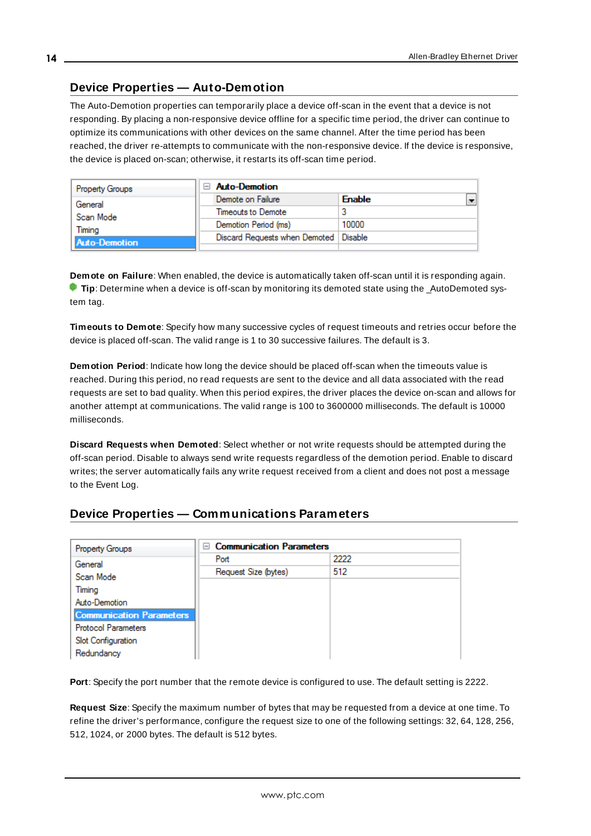## <span id="page-13-0"></span>**Device Properties — Auto-Demotion**

The Auto-Demotion properties can temporarily place a device off-scan in the event that a device is not responding. By placing a non-responsive device offline for a specific time period, the driver can continue to optimize its communications with other devices on the same channel. After the time period has been reached, the driver re-attempts to communicate with the non-responsive device. If the device is responsive, the device is placed on-scan; otherwise, it restarts its off-scan time period.

| <b>Property Groups</b> | <b>Auto-Demotion</b>                    |                                           |
|------------------------|-----------------------------------------|-------------------------------------------|
| General                | Demote on Failure                       | $\overline{\phantom{0}}$<br><b>Enable</b> |
| Scan Mode              | Timeouts to Demote                      | 3                                         |
| Timina                 | Demotion Period (ms)                    | 10000                                     |
| <b>Auto-Demotion</b>   | Discard Requests when Demoted   Disable |                                           |
|                        |                                         |                                           |

<span id="page-13-2"></span>**Demote on Failure**: When enabled, the device is automatically taken off-scan until it is responding again. **Tip**: Determine when a device is off-scan by monitoring its demoted state using the AutoDemoted system tag.

<span id="page-13-7"></span>**Timeouts to Demote**: Specify how many successive cycles of request timeouts and retries occur before the device is placed off-scan. The valid range is 1 to 30 successive failures. The default is 3.

<span id="page-13-3"></span>**Demotion Period**: Indicate how long the device should be placed off-scan when the timeouts value is reached. During this period, no read requests are sent to the device and all data associated with the read requests are set to bad quality. When this period expires, the driver places the device on-scan and allows for another attempt at communications. The valid range is 100 to 3600000 milliseconds. The default is 10000 milliseconds.

<span id="page-13-4"></span>**Discard Requests when Demoted**: Select whether or not write requests should be attempted during the off-scan period. Disable to always send write requests regardless of the demotion period. Enable to discard writes; the server automatically fails any write request received from a client and does not post a message to the Event Log.

## <span id="page-13-1"></span>**Device Properties — Communications Parameters**

| <b>Property Groups</b>          | □ Communication Parameters |      |  |  |  |  |
|---------------------------------|----------------------------|------|--|--|--|--|
| General                         | Port                       | 2222 |  |  |  |  |
| Scan Mode                       | Request Size (bytes)       | 512  |  |  |  |  |
| Timing                          |                            |      |  |  |  |  |
| Auto-Demotion                   |                            |      |  |  |  |  |
| <b>Communication Parameters</b> |                            |      |  |  |  |  |
| <b>Protocol Parameters</b>      |                            |      |  |  |  |  |
| Slot Configuration              |                            |      |  |  |  |  |
| Redundancy                      |                            |      |  |  |  |  |

<span id="page-13-6"></span><span id="page-13-5"></span>**Port**: Specify the port number that the remote device is configured to use. The default setting is 2222.

**Request Size**: Specify the maximum number of bytes that may be requested from a device at one time. To refine the driver's performance, configure the request size to one of the following settings: 32, 64, 128, 256, 512, 1024, or 2000 bytes. The default is 512 bytes.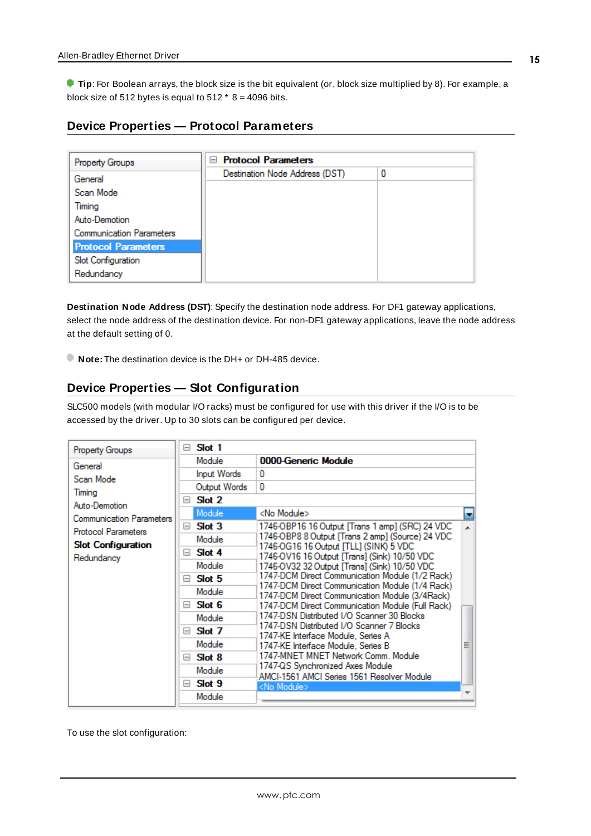**Tip**: For Boolean arrays, the block size is the bit equivalent (or, block size multiplied by 8). For example, a block size of 512 bytes is equal to 512  $*$  8 = 4096 bits.

### <span id="page-14-0"></span>**Device Properties — Protocol Parameters**

| Property Groups                 | <b>Protocol Parameters</b><br>н |   |
|---------------------------------|---------------------------------|---|
| General                         | Destination Node Address (DST)  | 0 |
| Scan Mode                       |                                 |   |
| Timina                          |                                 |   |
| Auto-Demotion                   |                                 |   |
| <b>Communication Parameters</b> |                                 |   |
| <b>Protocol Parameters</b>      |                                 |   |
| Slot Configuration              |                                 |   |
| Redundancy                      |                                 |   |

<span id="page-14-2"></span>**Destination Node Address (DST)**: Specify the destination node address. For DF1 gateway applications, select the node address of the destination device. For non-DF1 gateway applications, leave the node address at the default setting of 0.

<span id="page-14-1"></span>**Note:** The destination device is the DH+ or DH-485 device.

#### **Device Properties — Slot Configuration**

SLC500 models (with modular I/O racks) must be configured for use with this driver if the I/O is to be accessed by the driver. Up to 30 slots can be configured per device.

| Property Groups            | $=$    | Slot 1             |                                                                                                   |   |
|----------------------------|--------|--------------------|---------------------------------------------------------------------------------------------------|---|
| General                    |        | Module             | 0000-Generic Module                                                                               |   |
| Scan Mode                  |        | <b>Input Words</b> | 0                                                                                                 |   |
| Timing                     |        | Output Words       | 0                                                                                                 |   |
| Auto-Demotion              | $=$    | Slot 2             |                                                                                                   |   |
| Communication Parameters   |        | Module             | <no module=""></no>                                                                               | ۳ |
| <b>Protocol Parameters</b> | $\Box$ | Slot 3             | 1746-OBP16 16 Output [Trans 1 amp] (SRC) 24 VDC                                                   |   |
| <b>Slot Configuration</b>  |        | Module             | 1746-OBP8 8 Output [Trans 2 amp] (Source) 24 VDC                                                  |   |
| Redundancy                 |        | $\Box$ Slot 4      | 1746-OG16 16 Output [TLL] (SINK) 5 VDC<br>1746-OV16 16 Output [Trans] (Sink) 10/50 VDC            |   |
|                            |        | Module             | 1746-OV32 32 Output [Trans] (Sink) 10/50 VDC                                                      |   |
|                            | $\Box$ | Slot 5             | 1747-DCM Direct Communication Module (1/2 Rack)                                                   |   |
|                            |        | Module             | 1747-DCM Direct Communication Module (1/4 Rack)<br>1747-DCM Direct Communication Module (3/4Rack) |   |
|                            | $=$    | Slot 6             | 1747-DCM Direct Communication Module (Full Rack)                                                  |   |
|                            |        | Module             | 1747-DSN Distributed I/O Scanner 30 Blocks                                                        |   |
|                            |        | $\Box$ Slot 7      | 1747-DSN Distributed I/O Scanner 7 Blocks<br>1747-KE Interface Module, Series A                   |   |
|                            |        | Module             | 1747-KE Interface Module, Series B                                                                | Ξ |
|                            |        | $\Box$ Slot 8      | 1747-MNET MNET Network Comm, Module                                                               |   |
|                            |        | Module             | 1747-QS Synchronized Axes Module<br>AMCI-1561 AMCI Series 1561 Resolver Module                    |   |
|                            | E      | Slot 9             | <no module=""></no>                                                                               |   |
|                            |        | Module             |                                                                                                   |   |

To use the slot configuration: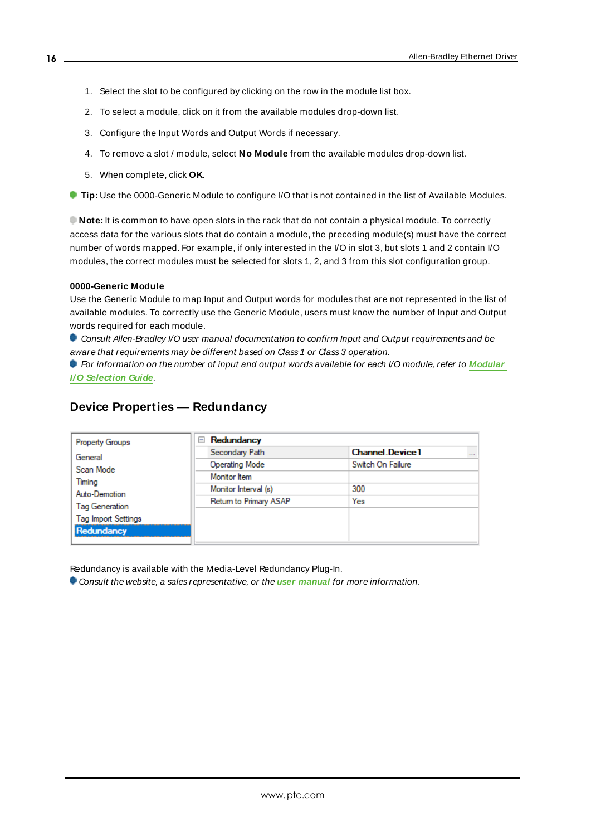- 1. Select the slot to be configured by clicking on the row in the module list box.
- 2. To select a module, click on it from the available modules drop-down list.
- 3. Configure the Input Words and Output Words if necessary.
- 4. To remove a slot / module, select **No Module** from the available modules drop-down list.
- 5. When complete, click **OK**.

**Tip:** Use the 0000-Generic Module to configure I/O that is not contained in the list of Available Modules.

**Note:** It is common to have open slots in the rack that do not contain a physical module. To correctly access data for the various slots that do contain a module, the preceding module(s) must have the correct number of words mapped. For example, if only interested in the I/O in slot 3, but slots 1 and 2 contain I/O modules, the correct modules must be selected for slots 1, 2, and 3 from this slot configuration group.

#### **0000-Generic Module**

Use the Generic Module to map Input and Output words for modules that are not represented in the list of available modules. To correctly use the Generic Module, users must know the number of Input and Output words required for each module.

Consult Allen-Bradley I/O user manual documentation to confirm Input and Output requirements and be aware that requirements may be different based on Class 1 or Class 3 operation.

For information on the number of input and output words available for each I/O module, refer to **[Modular](#page-16-0) I/O [Selection](#page-16-0) Guide**.

## <span id="page-15-0"></span>**Device Properties — Redundancy**

| <b>Property Groups</b>     | Redundancy<br>$=$      |                                    |
|----------------------------|------------------------|------------------------------------|
| General                    | Secondary Path         | <b>Channel Device1</b><br>$\cdots$ |
| Scan Mode                  | <b>Operating Mode</b>  | Switch On Failure                  |
| Timing                     | Monitor Item           |                                    |
| Auto-Demotion              | Monitor Interval (s)   | 300                                |
| <b>Tag Generation</b>      | Return to Primary ASAP | Yes                                |
| <b>Tag Import Settings</b> |                        |                                    |
| Redundancy                 |                        |                                    |
|                            |                        |                                    |

Redundancy is available with the Media-Level Redundancy Plug-In.

Consult the website, a sales representative, or the **user [manual](https://www.kepware.com/getattachment/35461efd-b53a-4219-a109-a89fad20b230/media-level-redundancy-manual.pdf)** for more information.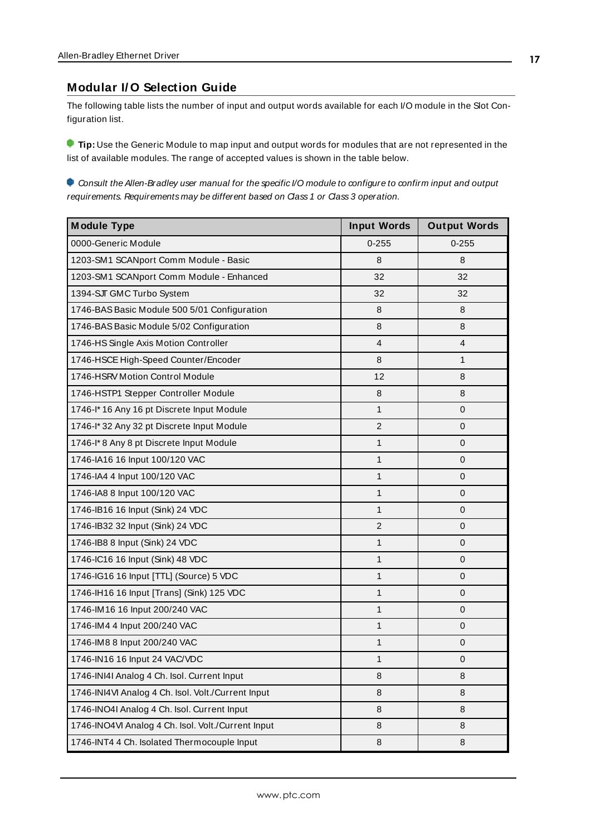#### <span id="page-16-0"></span>**Modular I/ O Selection Guide**

The following table lists the number of input and output words available for each I/O module in the Slot Configuration list.

**Tip:** Use the Generic Module to map input and output words for modules that are not represented in the list of available modules. The range of accepted values is shown in the table below.

Consult the Allen-Bradley user manual for the specific I/O module to configure to confirm input and output requirements. Requirements may be different based on Class 1 or Class 3 operation.

| <b>Module Type</b>                                 | <b>Input Words</b> | <b>Output Words</b> |
|----------------------------------------------------|--------------------|---------------------|
| 0000-Generic Module                                | $0 - 255$          | $0 - 255$           |
| 1203-SM1 SCANport Comm Module - Basic              | 8                  | 8                   |
| 1203-SM1 SCANport Comm Module - Enhanced           | 32                 | 32                  |
| 1394-SJT GMC Turbo System                          | 32                 | 32                  |
| 1746-BAS Basic Module 500 5/01 Configuration       | 8                  | 8                   |
| 1746-BAS Basic Module 5/02 Configuration           | 8                  | 8                   |
| 1746-HS Single Axis Motion Controller              | $\overline{4}$     | 4                   |
| 1746-HSCE High-Speed Counter/Encoder               | 8                  | 1                   |
| 1746-HSRV Motion Control Module                    | 12                 | 8                   |
| 1746-HSTP1 Stepper Controller Module               | $\,8\,$            | 8                   |
| 1746-I* 16 Any 16 pt Discrete Input Module         | $\mathbf{1}$       | $\pmb{0}$           |
| 1746-I* 32 Any 32 pt Discrete Input Module         | 2                  | 0                   |
| 1746-I*8 Any 8 pt Discrete Input Module            | 1                  | $\mathbf 0$         |
| 1746-IA16 16 Input 100/120 VAC                     | 1                  | $\mathbf 0$         |
| 1746-IA4 4 Input 100/120 VAC                       | 1                  | $\mathbf{0}$        |
| 1746-IA8 8 Input 100/120 VAC                       | $\mathbf{1}$       | $\pmb{0}$           |
| 1746-IB16 16 Input (Sink) 24 VDC                   | 1                  | 0                   |
| 1746-IB32 32 Input (Sink) 24 VDC                   | 2                  | $\mathbf 0$         |
| 1746-IB8 8 Input (Sink) 24 VDC                     | 1                  | $\mathbf 0$         |
| 1746-IC16 16 Input (Sink) 48 VDC                   | 1                  | $\mathbf 0$         |
| 1746-IG16 16 Input [TTL] (Source) 5 VDC            | 1                  | 0                   |
| 1746-IH16 16 Input [Trans] (Sink) 125 VDC          | $\mathbf{1}$       | $\mathbf 0$         |
| 1746-IM16 16 Input 200/240 VAC                     | $\mathbf{1}$       | $\mathbf 0$         |
| 1746-IM4 4 Input 200/240 VAC                       | 1                  | $\mathbf{0}$        |
| 1746-IM8 8 Input 200/240 VAC                       | 1                  | $\pmb{0}$           |
| 1746-IN16 16 Input 24 VAC/VDC                      | 1                  | 0                   |
| 1746-INI4I Analog 4 Ch. Isol. Current Input        | 8                  | 8                   |
| 1746-INI4VI Analog 4 Ch. Isol. Volt./Current Input | 8                  | 8                   |
| 1746-INO4I Analog 4 Ch. Isol. Current Input        | 8                  | 8                   |
| 1746-INO4VI Analog 4 Ch. Isol. Volt./Current Input | 8                  | 8                   |
| 1746-INT4 4 Ch. Isolated Thermocouple Input        | 8                  | 8                   |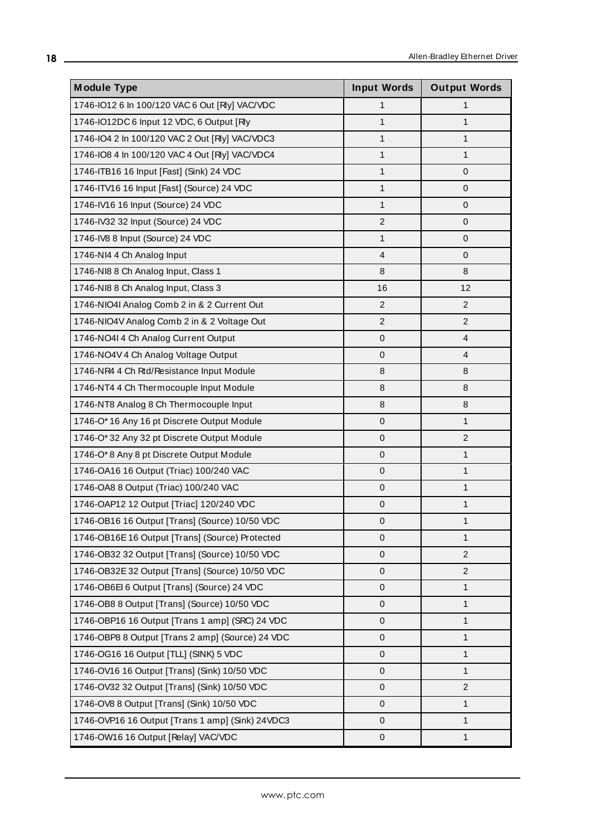| <b>Module Type</b>                               | <b>Input Words</b> | <b>Output Words</b> |
|--------------------------------------------------|--------------------|---------------------|
| 1746-IO12 6 In 100/120 VAC 6 Out [Rly] VAC/VDC   | $\mathbf{1}$       | 1                   |
| 1746-IO12DC 6 Input 12 VDC, 6 Output [Rly        | $\mathbf{1}$       | $\mathbf{1}$        |
| 1746-IO4 2 In 100/120 VAC 2 Out [RIy] VAC/VDC3   | 1                  | 1                   |
| 1746-IO8 4 In 100/120 VAC 4 Out [RIy] VAC/VDC4   | $\mathbf{1}$       | $\mathbf{1}$        |
| 1746-ITB16 16 Input [Fast] (Sink) 24 VDC         | $\mathbf{1}$       | $\mathbf{0}$        |
| 1746-ITV16 16 Input [Fast] (Source) 24 VDC       | $\mathbf{1}$       | $\mathbf 0$         |
| 1746-IV16 16 Input (Source) 24 VDC               | $\mathbf{1}$       | $\pmb{0}$           |
| 1746-IV32 32 Input (Source) 24 VDC               | $\overline{2}$     | $\mathbf 0$         |
| 1746-IV8 8 Input (Source) 24 VDC                 | $\mathbf{1}$       | $\mathbf{0}$        |
| 1746-NI4 4 Ch Analog Input                       | 4                  | 0                   |
| 1746-NI8 8 Ch Analog Input, Class 1              | 8                  | 8                   |
| 1746-NI8 8 Ch Analog Input, Class 3              | 16                 | 12                  |
| 1746-NIO4I Analog Comb 2 in & 2 Current Out      | $\overline{2}$     | $\overline{c}$      |
| 1746-NIO4V Analog Comb 2 in & 2 Voltage Out      | $\overline{2}$     | 2                   |
| 1746-NO4I 4 Ch Analog Current Output             | $\pmb{0}$          | $\overline{4}$      |
| 1746-NO4V 4 Ch Analog Voltage Output             | $\mathbf 0$        | $\overline{4}$      |
| 1746-NR4 4 Ch Rtd/Resistance Input Module        | 8                  | 8                   |
| 1746-NT4 4 Ch Thermocouple Input Module          | 8                  | 8                   |
| 1746-NT8 Analog 8 Ch Thermocouple Input          | 8                  | 8                   |
| 1746-O* 16 Any 16 pt Discrete Output Module      | $\mathbf 0$        | $\mathbf{1}$        |
| 1746-O* 32 Any 32 pt Discrete Output Module      | $\mathbf 0$        | $\overline{c}$      |
| 1746-O*8 Any 8 pt Discrete Output Module         | $\pmb{0}$          | $\mathbf{1}$        |
| 1746-OA16 16 Output (Triac) 100/240 VAC          | $\pmb{0}$          | $\mathbf{1}$        |
| 1746-OA8 8 Output (Triac) 100/240 VAC            | $\pmb{0}$          | $\mathbf{1}$        |
| 1746-OAP12 12 Output [Triac] 120/240 VDC         | $\pmb{0}$          | 1                   |
| 1746-OB16 16 Output [Trans] (Source) 10/50 VDC   | 0                  | $\mathbf 1$         |
| 1746-OB16E 16 Output [Trans] (Source) Protected  | 0                  | 1                   |
| 1746-OB32 32 Output [Trans] (Source) 10/50 VDC   | $\pmb{0}$          | 2                   |
| 1746-OB32E 32 Output [Trans] (Source) 10/50 VDC  | $\pmb{0}$          | 2                   |
| 1746-OB6El 6 Output [Trans] (Source) 24 VDC      | $\mathbf 0$        | $\mathbf{1}$        |
| 1746-OB8 8 Output [Trans] (Source) 10/50 VDC     | $\mathbf 0$        | $\mathbf{1}$        |
| 1746-OBP16 16 Output [Trans 1 amp] (SRC) 24 VDC  | 0                  | $\mathbf{1}$        |
| 1746-OBP8 8 Output [Trans 2 amp] (Source) 24 VDC | $\mathbf 0$        | $\mathbf{1}$        |
| 1746-OG16 16 Output [TLL] (SINK) 5 VDC           | $\pmb{0}$          | $\mathbf{1}$        |
| 1746-OV16 16 Output [Trans] (Sink) 10/50 VDC     | $\pmb{0}$          | $\mathbf{1}$        |
| 1746-OV32 32 Output [Trans] (Sink) 10/50 VDC     | $\pmb{0}$          | $\overline{2}$      |
| 1746-OV8 8 Output [Trans] (Sink) 10/50 VDC       | $\pmb{0}$          | 1                   |
| 1746-OVP16 16 Output [Trans 1 amp] (Sink) 24VDC3 | $\mathbf 0$        | $\mathbf{1}$        |
| 1746-OW16 16 Output [Relay] VAC/VDC              | $\pmb{0}$          | $\mathbf{1}$        |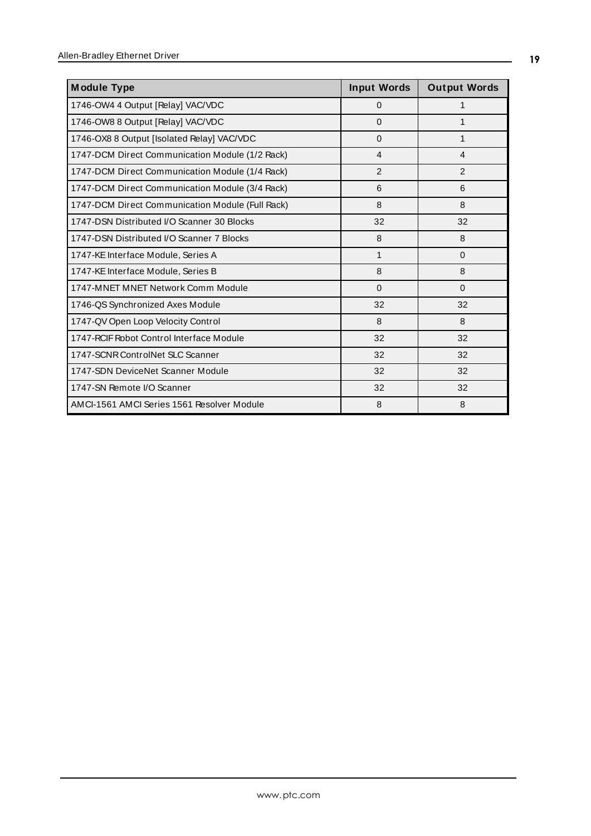| <b>Module Type</b>                               | <b>Input Words</b> | <b>Output Words</b> |
|--------------------------------------------------|--------------------|---------------------|
| 1746-OW4 4 Output [Relay] VAC/VDC                | $\mathbf 0$        | 1                   |
| 1746-OW8 8 Output [Relay] VAC/VDC                | $\Omega$           | 1                   |
| 1746-OX8 8 Output [Isolated Relay] VAC/VDC       | $\mathbf 0$        | 1                   |
| 1747-DCM Direct Communication Module (1/2 Rack)  | $\overline{4}$     | 4                   |
| 1747-DCM Direct Communication Module (1/4 Rack)  | $\overline{2}$     | 2                   |
| 1747-DCM Direct Communication Module (3/4 Rack)  | 6                  | 6                   |
| 1747-DCM Direct Communication Module (Full Rack) | 8                  | 8                   |
| 1747-DSN Distributed I/O Scanner 30 Blocks       | 32                 | 32                  |
| 1747-DSN Distributed I/O Scanner 7 Blocks        | 8                  | 8                   |
| 1747-KE Interface Module, Series A               | 1                  | $\mathbf 0$         |
| 1747-KE Interface Module, Series B               | 8                  | 8                   |
| 1747-MNET MNET Network Comm Module               | $\Omega$           | $\Omega$            |
| 1746-QS Synchronized Axes Module                 | 32                 | 32                  |
| 1747-QV Open Loop Velocity Control               | 8                  | 8                   |
| 1747-RCIF Robot Control Interface Module         | 32                 | 32                  |
| 1747-SCNR ControlNet SLC Scanner                 | 32                 | 32                  |
| 1747-SDN DeviceNet Scanner Module                | 32                 | 32                  |
| 1747-SN Remote I/O Scanner                       | 32                 | 32                  |
| AMCI-1561 AMCI Series 1561 Resolver Module       | 8                  | 8                   |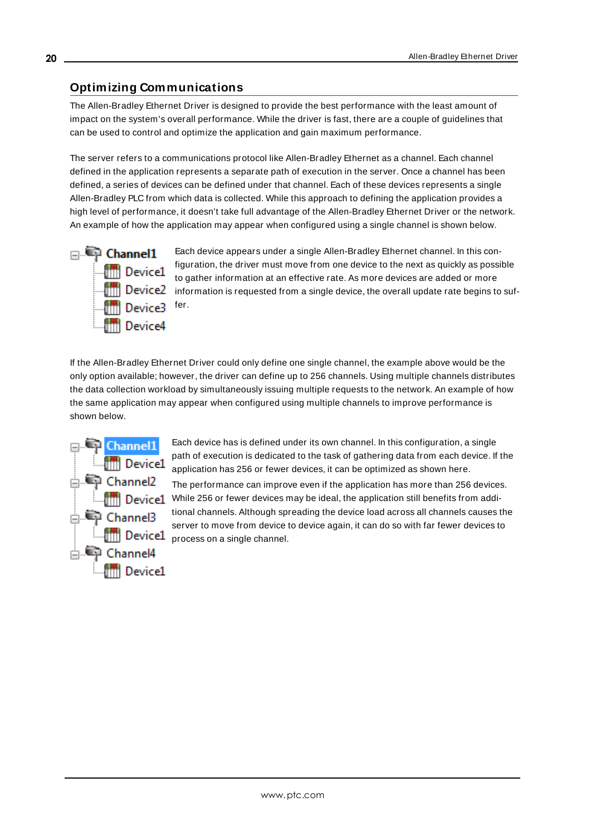## <span id="page-19-0"></span>**Optimizing Communications**

The Allen-Bradley Ethernet Driver is designed to provide the best performance with the least amount of impact on the system's overall performance. While the driver is fast, there are a couple of guidelines that can be used to control and optimize the application and gain maximum performance.

The server refers to a communications protocol like Allen-Bradley Ethernet as a channel. Each channel defined in the application represents a separate path of execution in the server. Once a channel has been defined, a series of devices can be defined under that channel. Each of these devices represents a single Allen-Bradley PLC from which data is collected. While this approach to defining the application provides a high level of performance, it doesn't take full advantage of the Allen-Bradley Ethernet Driver or the network. An example of how the application may appear when configured using a single channel is shown below.



Each device appears under a single Allen-Bradley Ethernet channel. In this configuration, the driver must move from one device to the next as quickly as possible to gather information at an effective rate. As more devices are added or more **information** is requested from a single device, the overall update rate begins to suffer.

If the Allen-Bradley Ethernet Driver could only define one single channel, the example above would be the only option available; however, the driver can define up to 256 channels. Using multiple channels distributes the data collection workload by simultaneously issuing multiple requests to the network. An example of how the same application may appear when configured using multiple channels to improve performance is shown below.



Each device has is defined under its own channel. In this configuration, a single path of execution is dedicated to the task of gathering data from each device. If the application has 256 or fewer devices, it can be optimized as shown here.

The performance can improve even if the application has more than 256 devices. Device1 While 256 or fewer devices may be ideal, the application still benefits from additional channels. Although spreading the device load across all channels causes the server to move from device to device again, it can do so with far fewer devices to **Example 2** between to move from device.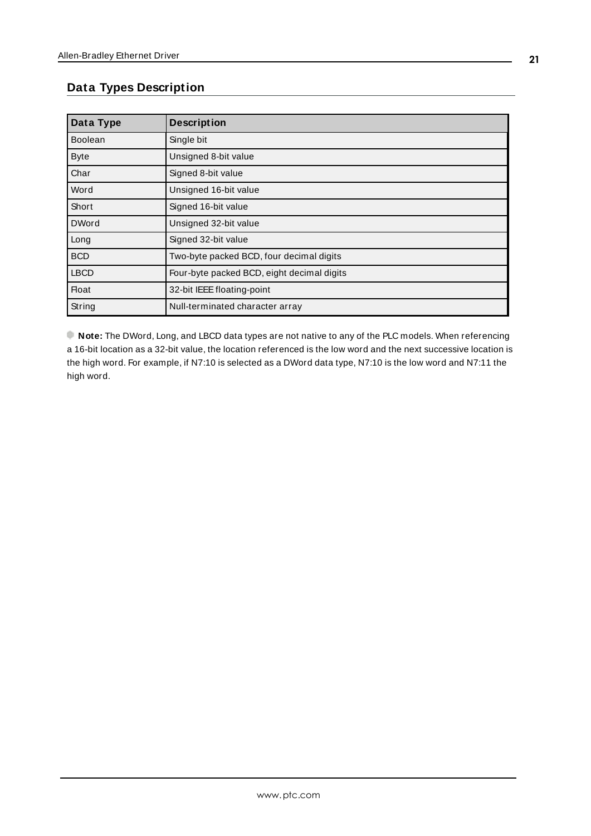# <span id="page-20-0"></span>**Data Types Description**

<span id="page-20-11"></span><span id="page-20-9"></span><span id="page-20-5"></span><span id="page-20-4"></span><span id="page-20-3"></span><span id="page-20-2"></span>

| Data Type      | <b>Description</b>                         |
|----------------|--------------------------------------------|
| <b>Boolean</b> | Single bit                                 |
| <b>Byte</b>    | Unsigned 8-bit value                       |
| Char           | Signed 8-bit value                         |
| Word           | Unsigned 16-bit value                      |
| Short          | Signed 16-bit value                        |
| <b>DWord</b>   | Unsigned 32-bit value                      |
| Long           | Signed 32-bit value                        |
| <b>BCD</b>     | Two-byte packed BCD, four decimal digits   |
| <b>LBCD</b>    | Four-byte packed BCD, eight decimal digits |
| <b>Float</b>   | 32-bit IEEE floating-point                 |
| String         | Null-terminated character array            |

<span id="page-20-10"></span><span id="page-20-8"></span><span id="page-20-7"></span><span id="page-20-6"></span><span id="page-20-1"></span>**Note:** The DWord, Long, and LBCD data types are not native to any of the PLC models. When referencing a 16-bit location as a 32-bit value, the location referenced is the low word and the next successive location is the high word. For example, if N7:10 is selected as a DWord data type, N7:10 is the low word and N7:11 the high word.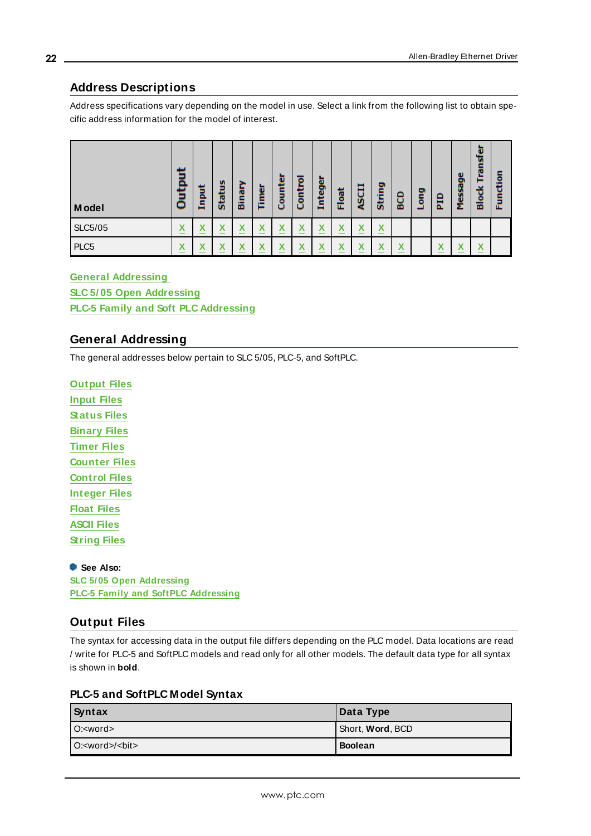# <span id="page-21-0"></span>**Address Descriptions**

Address specifications vary depending on the model in use. Select a link from the following list to obtain specific address information for the model of interest.

| Model            | سد<br>ā<br>Ë<br>≏              | Input  | m<br>员<br>ಕ                    | 흔<br>囩                    | Timer                       | ounter<br>o                           | ō<br>Contr | Integer                            | Float       | 5CI                           | String | BCD                          | ۰<br>ā | 믑       | Message | ū<br>æ<br>о<br>ᄒ             | ۰<br>흄<br>군 |
|------------------|--------------------------------|--------|--------------------------------|---------------------------|-----------------------------|---------------------------------------|------------|------------------------------------|-------------|-------------------------------|--------|------------------------------|--------|---------|---------|------------------------------|-------------|
| <b>SLC5/05</b>   | v<br>$\boldsymbol{\mathsf{A}}$ | X<br>- | v<br>$\boldsymbol{\mathsf{A}}$ | $\boldsymbol{\mathsf{A}}$ | v<br>$\boldsymbol{\Lambda}$ | $\lambda$<br>$\overline{\phantom{a}}$ | ⋏          | v<br>↗<br>$\overline{\phantom{a}}$ | v<br>Λ<br>– | v<br>л                        | X<br>- |                              |        |         |         |                              |             |
| PLC <sub>5</sub> | v<br>$\boldsymbol{\mathsf{A}}$ | Χ      | $\overline{\phantom{a}}$       |                           | v                           |                                       |            | M<br>↗                             | v<br>⋏      | $\overline{\phantom{a}}$<br>⋏ | v<br>⋏ | $\overline{\mathbf{v}}$<br>Λ |        | v<br>́́ | v       | $\overline{\mathbf{v}}$<br>́ |             |

#### **General [Addressing](#page-21-1)**

**SLC 5/ 05 Open [Addressing](#page-33-0) PLC-5 Family and Soft PLC [Addressing](#page-33-1)**

## <span id="page-21-1"></span>**General Addressing**

The general addresses below pertain to SLC 5/05, PLC-5, and SoftPLC.

**[Output](#page-21-2) Files [Input](#page-23-0) Files [Status](#page-25-0) Files [Binary](#page-26-0) Files [Timer](#page-27-0) Files [Counter](#page-28-0) Files [Control](#page-28-1) Files [Integer](#page-29-0) Files [Float](#page-30-0) Files [ASCII](#page-31-0) Files [String](#page-32-0) Files**

**See Also: SLC 5/05 Open [Addressing](#page-33-0) PLC-5 Family and SoftPLC [Addressing](#page-33-1)**

## <span id="page-21-2"></span>**Output Files**

The syntax for accessing data in the output file differs depending on the PLC model. Data locations are read / write for PLC-5 and SoftPLC models and read only for all other models. The default data type for all syntax is shown in **bold**.

#### **PLC-5 and SoftPLC Model Syntax**

| Syntax          | Data Type                |  |  |  |  |
|-----------------|--------------------------|--|--|--|--|
| $O: <$ word $>$ | Short, <b>Word</b> , BCD |  |  |  |  |
| $O:=word>/bit>$ | <b>Boolean</b>           |  |  |  |  |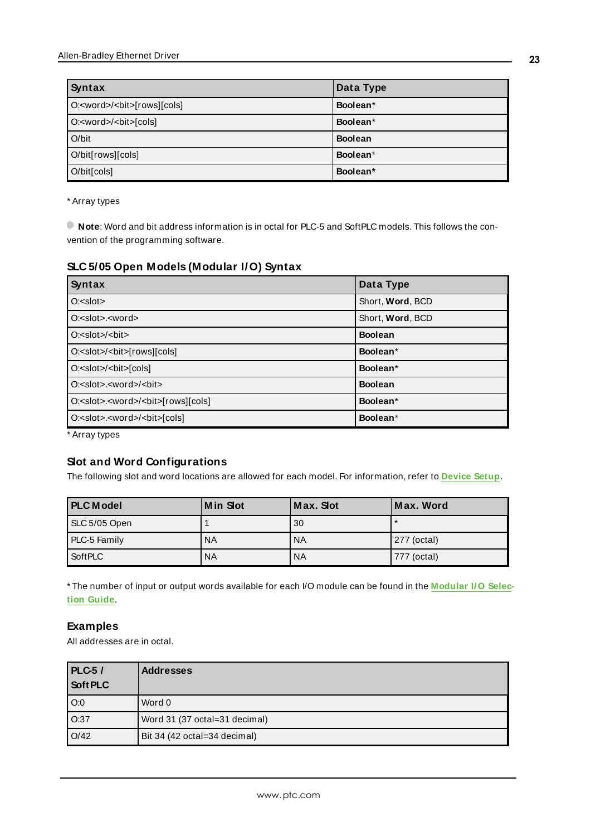| Syntax                                   | Data Type      |
|------------------------------------------|----------------|
| O: <word>/<bit>[rows][cols]</bit></word> | Boolean*       |
| O: <word>/<bit>[cols]</bit></word>       | Boolean*       |
| $O/b$ it                                 | <b>Boolean</b> |
| O/bit[rows][cols]                        | Boolean*       |
| O/bit[cols]                              | Boolean*       |

\* Array types

**Note**: Word and bit address information is in octal for PLC-5 and SoftPLC models. This follows the convention of the programming software.

#### **SLC 5/05 Open Models (Modular I/O) Syntax**

| Syntax                                                 | Data Type        |
|--------------------------------------------------------|------------------|
| $O:=s$ lot $>$                                         | Short, Word, BCD |
| $O: <$ slot $>$ . $<$ word $>$                         | Short, Word, BCD |
| O: <slot< td=""><td><b>Boolean</b></td></slot<>        | <b>Boolean</b>   |
| O: <slot>/<br/><br/>cols][rows][cols]</slot>           | Boolean*         |
| O: <slot>/<br/><br/>cols]</slot>                       | Boolean*         |
| O: <slot>.<word>/<br/><br/>bit&gt;</word></slot>       | <b>Boolean</b>   |
| O: <slot>.<word>/<blt>[rows][cols]</blt></word></slot> | Boolean*         |
| O: <slot>.<word>/<br/><br/>bit&gt;[cols]</word></slot> | Boolean*         |

\* Array types

#### **Slot and Word Configurations**

The following slot and word locations are allowed for each model. For information, refer to **[Device](#page-5-0) Setup**.

| <b>PLC Model</b> | <b>Min Slot</b> | Max. Slot | Max. Word   |
|------------------|-----------------|-----------|-------------|
| SLC 5/05 Open    |                 | 30        |             |
| PLC-5 Family     | <b>NA</b>       | <b>NA</b> | 277 (octal) |
| <b>SoftPLC</b>   | <b>NA</b>       | <b>NA</b> | 777 (octal) |

\* The number of input or output words available for each I/O module can be found in the **[Modular](#page-16-0) I/O Selection [Guide](#page-16-0)**.

## **Examples**

All addresses are in octal.

| <b>PLC-5/</b> | <b>Addresses</b>              |
|---------------|-------------------------------|
| Soft PLC      |                               |
| O:0           | Word 0                        |
| O:37          | Word 31 (37 octal=31 decimal) |
| O/42          | Bit 34 (42 octal=34 decimal)  |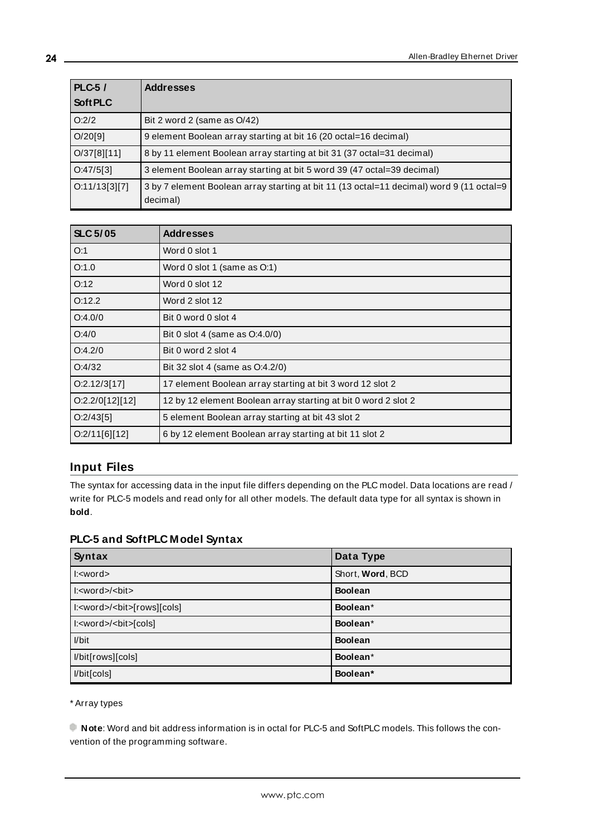| $PLC-5/$      | <b>Addresses</b>                                                                                     |
|---------------|------------------------------------------------------------------------------------------------------|
| Soft PLC      |                                                                                                      |
| O:2/2         | Bit 2 word 2 (same as O/42)                                                                          |
| O/20[9]       | 9 element Boolean array starting at bit 16 (20 octal=16 decimal)                                     |
| O/37[8][11]   | 8 by 11 element Boolean array starting at bit 31 (37 octal=31 decimal)                               |
| O:47/5[3]     | 3 element Boolean array starting at bit 5 word 39 (47 octal=39 decimal)                              |
| O:11/13[3][7] | 3 by 7 element Boolean array starting at bit 11 (13 octal=11 decimal) word 9 (11 octal=9<br>decimal) |

| <b>SLC 5/05</b> | <b>Addresses</b>                                               |
|-----------------|----------------------------------------------------------------|
| O:1             | Word 0 slot 1                                                  |
| O:1.0           | Word 0 slot 1 (same as O:1)                                    |
| O:12            | Word 0 slot 12                                                 |
| O:12.2          | Word 2 slot 12                                                 |
| O:4.0/0         | Bit 0 word 0 slot 4                                            |
| O:4/0           | Bit 0 slot 4 (same as 0:4.0/0)                                 |
| O:4.2/0         | Bit 0 word 2 slot 4                                            |
| O:4/32          | Bit 32 slot 4 (same as O:4.2/0)                                |
| O:2.12/3[17]    | 17 element Boolean array starting at bit 3 word 12 slot 2      |
| O:2.2/O[12][12] | 12 by 12 element Boolean array starting at bit 0 word 2 slot 2 |
| O:2/43[5]       | 5 element Boolean array starting at bit 43 slot 2              |
| O:2/11[6][12]   | 6 by 12 element Boolean array starting at bit 11 slot 2        |

# <span id="page-23-0"></span>**Input Files**

The syntax for accessing data in the input file differs depending on the PLC model. Data locations are read / write for PLC-5 models and read only for all other models. The default data type for all syntax is shown in **bold**.

# **PLC-5 and SoftPLC Model Syntax**

| Syntax                                                               | Data Type        |
|----------------------------------------------------------------------|------------------|
| $k$ = $k$                                                            | Short, Word, BCD |
| $k$ : $\text{word}$ $\text{ /}$ $\text{ <}$ $\text{bit}$ $\text{ >}$ | <b>Boolean</b>   |
| l: <word>/<bit>[rows][cols]</bit></word>                             | Boolean*         |
| l: <word>/<bit>[cols]</bit></word>                                   | Boolean*         |
| $I/b$ it                                                             | <b>Boolean</b>   |
| l/bit[rows][cols]                                                    | Boolean*         |
| I/bit[cols]                                                          | Boolean*         |

\* Array types

**Note**: Word and bit address information is in octal for PLC-5 and SoftPLC models. This follows the convention of the programming software.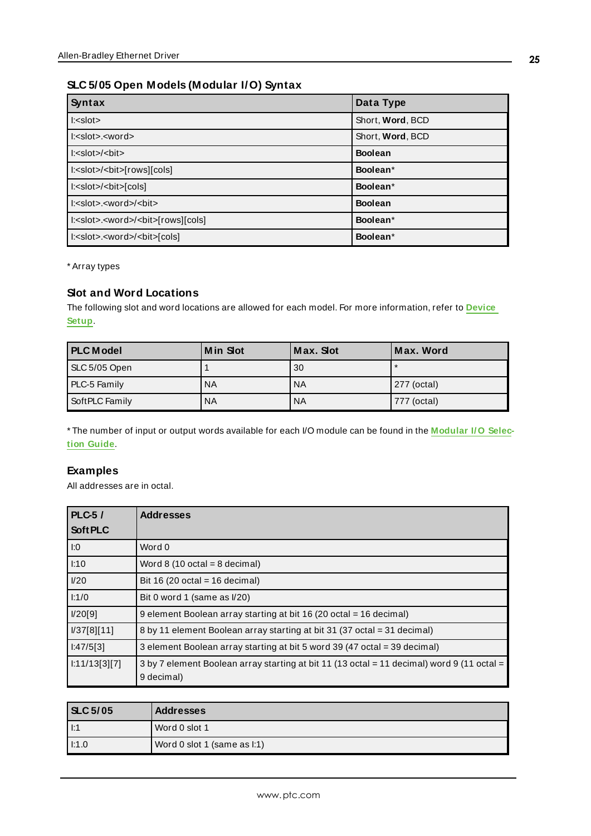# **SLC 5/05 Open Models (Modular I/O) Syntax**

| Syntax                                                        | Data Type        |
|---------------------------------------------------------------|------------------|
| $l: <$ slot $>$                                               | Short, Word, BCD |
| $l: <$ slot>. <word></word>                                   | Short, Word, BCD |
| $\textsf{I:}<$ slot $>\$ $\textsf{chit}>$                     | <b>Boolean</b>   |
| l: <slot>/<blt>[rows][cols]</blt></slot>                      | Boolean*         |
| l: <slot>/<blt>[cols]</blt></slot>                            | Boolean*         |
| $k$ : $\leq$ slot $\geq$ $\leq$ word $\geq$ $\leq$ bit $\geq$ | <b>Boolean</b>   |
| l: <slot>.<word>/<blt>[rows][cols]</blt></word></slot>        | Boolean*         |
| l: <slot>.<word>/<br/><br/>bit&gt;[cols]</word></slot>        | Boolean*         |

\* Array types

### **Slot and Word Locations**

The following slot and word locations are allowed for each model. For more information, refer to **[Device](#page-5-0) [Setup](#page-5-0)**.

| <b>PLC</b> Model | <b>Min Slot</b> | Max. Slot | Max. Word   |
|------------------|-----------------|-----------|-------------|
| SLC 5/05 Open    |                 | 30        |             |
| PLC-5 Family     | NA              | <b>NA</b> | 277 (octal) |
| SoftPLC Family   | NA              | <b>NA</b> | 777 (octal) |

\* The number of input or output words available for each I/O module can be found in the **[Modular](#page-16-0) I/O Selection [Guide](#page-16-0)**.

#### **Examples**

All addresses are in octal.

| $PLC-5/$      | <b>Addresses</b>                                                                                         |
|---------------|----------------------------------------------------------------------------------------------------------|
| Soft PLC      |                                                                                                          |
| 1:0           | Word 0                                                                                                   |
| 1:10          | Word $8(10 \text{ octal} = 8 \text{ decimal})$                                                           |
| I/20          | Bit 16 (20 octal = 16 decimal)                                                                           |
| $\vert$ 1:1/0 | Bit 0 word 1 (same as I/20)                                                                              |
| V20[9]        | 9 element Boolean array starting at bit 16 (20 octal = 16 decimal)                                       |
| V37[8][11]    | 8 by 11 element Boolean array starting at bit 31 (37 octal = 31 decimal)                                 |
| 1:47/5[3]     | 3 element Boolean array starting at bit 5 word 39 (47 octal = 39 decimal)                                |
| 1:11/13[3][7] | 3 by 7 element Boolean array starting at bit 11 (13 octal = 11 decimal) word 9 (11 octal =<br>9 decimal) |

| <b>SLC 5/05</b> | <b>Addresses</b>            |
|-----------------|-----------------------------|
| $\vert$ I:1     | Word 0 slot 1               |
| $ $ $ :1.0$     | Word 0 slot 1 (same as I:1) |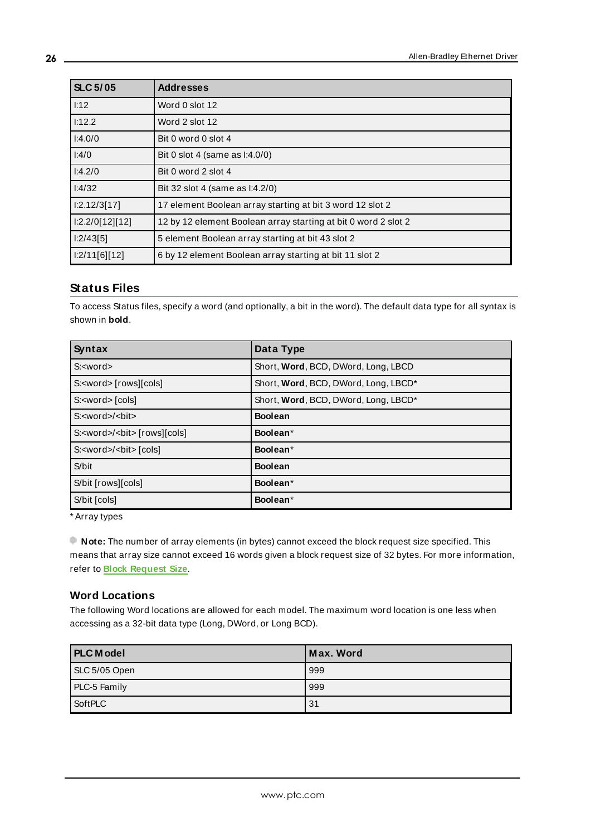| <b>SLC 5/05</b> | <b>Addresses</b>                                               |
|-----------------|----------------------------------------------------------------|
| 1:12            | Word 0 slot 12                                                 |
| 1:12.2          | Word 2 slot 12                                                 |
| 1:4.0/0         | Bit 0 word 0 slot 4                                            |
| 1:4/0           | Bit 0 slot 4 (same as l:4.0/0)                                 |
| 1:4.2/0         | Bit 0 word 2 slot 4                                            |
| 1:4/32          | Bit 32 slot 4 (same as l:4.2/0)                                |
| 1:2.12/3[17]    | 17 element Boolean array starting at bit 3 word 12 slot 2      |
| 1:2.2/0[12][12] | 12 by 12 element Boolean array starting at bit 0 word 2 slot 2 |
| 1:2/43[5]       | 5 element Boolean array starting at bit 43 slot 2              |
| 1:2/11[6][12]   | 6 by 12 element Boolean array starting at bit 11 slot 2        |

## <span id="page-25-0"></span>**Status Files**

To access Status files, specify a word (and optionally, a bit in the word). The default data type for all syntax is shown in **bold**.

| Syntax                                        | Data Type                            |
|-----------------------------------------------|--------------------------------------|
| $S: <$ word $>$                               | Short, Word, BCD, DWord, Long, LBCD  |
| S: <word> [rows][cols]</word>                 | Short, Word, BCD, DWord, Long, LBCD* |
| S: <word>[cols]</word>                        | Short, Word, BCD, DWord, Long, LBCD* |
| S: <word>/<br/><br/>bit&gt;</word>            | <b>Boolean</b>                       |
| S: <word>/<br/><br/>cols] [rows][cols]</word> | Boolean*                             |
| S: <word>/<br/><br/>bit&gt; [cols]</word>     | Boolean*                             |
| S/bit                                         | <b>Boolean</b>                       |
| S/bit [rows][cols]                            | Boolean*                             |
| S/bit [cols]                                  | Boolean*                             |

\* Array types

**Note:** The number of array elements (in bytes) cannot exceed the block request size specified. This means that array size cannot exceed 16 words given a block request size of 32 bytes. For more information, refer to **Block Request Size**.

#### **Word Locations**

The following Word locations are allowed for each model. The maximum word location is one less when accessing as a 32-bit data type (Long, DWord, or Long BCD).

| <b>PLC</b> Model | Max. Word |
|------------------|-----------|
| SLC 5/05 Open    | 999       |
| PLC-5 Family     | 999       |
| SoftPLC          | 31        |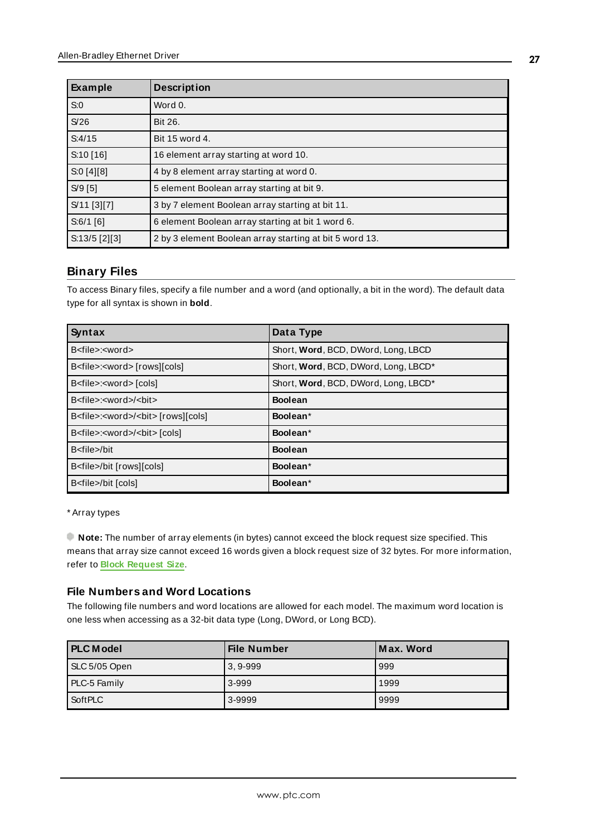| Example         | <b>Description</b>                                      |
|-----------------|---------------------------------------------------------|
| S:0             | Word 0.                                                 |
| S/26            | Bit 26.                                                 |
| S:4/15          | Bit 15 word 4.                                          |
| S:10[16]        | 16 element array starting at word 10.                   |
| S:0[4][8]       | 4 by 8 element array starting at word 0.                |
| $S/9$ [5]       | 5 element Boolean array starting at bit 9.              |
| S/11 [3][7]     | 3 by 7 element Boolean array starting at bit 11.        |
| $S:6/1$ [6]     | 6 element Boolean array starting at bit 1 word 6.       |
| $S:13/5$ [2][3] | 2 by 3 element Boolean array starting at bit 5 word 13. |

#### <span id="page-26-0"></span>**Binary Files**

To access Binary files, specify a file number and a word (and optionally, a bit in the word). The default data type for all syntax is shown in **bold**.

| Syntax                                                       | Data Type                            |
|--------------------------------------------------------------|--------------------------------------|
| B <file>:<word></word></file>                                | Short, Word, BCD, DWord, Long, LBCD  |
| B <file>:<word> [rows][cols]</word></file>                   | Short, Word, BCD, DWord, Long, LBCD* |
| B <file>:<word>[cols]</word></file>                          | Short, Word, BCD, DWord, Long, LBCD* |
| B <file>:<word>/<bit></bit></word></file>                    | <b>Boolean</b>                       |
| B <file>:<word>/<br/><br/>colsl B<file></file></word></file> | Boolean*                             |
| B <file>:<word>/<br/><br/>cols</word></file>                 | Boolean*                             |
| B <file>/bit</file>                                          | <b>Boolean</b>                       |
| B <file>/bit [rows][cols]</file>                             | Boolean*                             |
| B <file>/bit [cols]</file>                                   | Boolean*                             |

#### \* Array types

**Note:** The number of array elements (in bytes) cannot exceed the block request size specified. This means that array size cannot exceed 16 words given a block request size of 32 bytes. For more information, refer to **Block Request Size**.

#### **File Numbers and Word Locations**

The following file numbers and word locations are allowed for each model. The maximum word location is one less when accessing as a 32-bit data type (Long, DWord, or Long BCD).

| <b>I PLC Model</b> | <b>File Number</b> | Max. Word |
|--------------------|--------------------|-----------|
| SLC 5/05 Open      | $3,9-999$          | 999       |
| PLC-5 Family       | 3-999              | 1999      |
| SoftPLC            | 3-9999             | 9999      |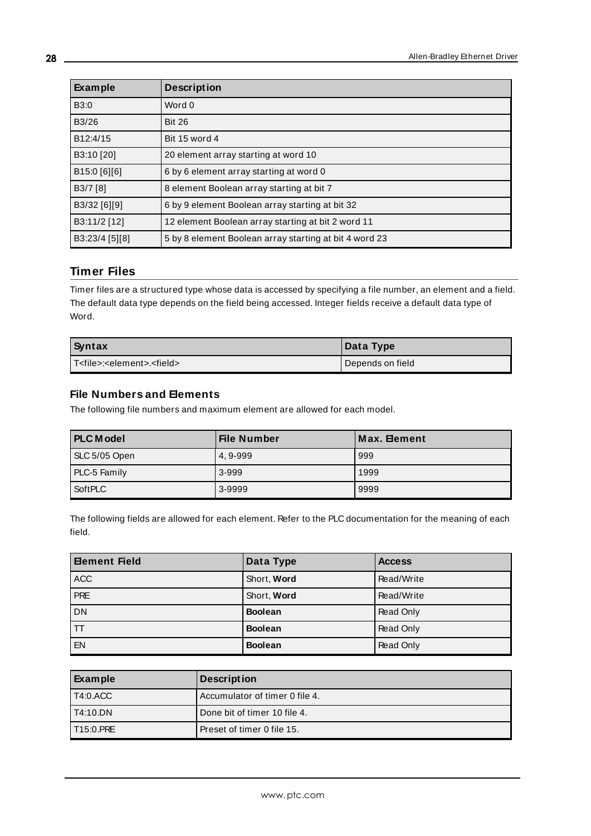| Example        | <b>Description</b>                                     |
|----------------|--------------------------------------------------------|
| B3:0           | Word 0                                                 |
| B3/26          | <b>Bit 26</b>                                          |
| B12:4/15       | Bit 15 word 4                                          |
| B3:10 [20]     | 20 element array starting at word 10                   |
| B15:0 [6][6]   | 6 by 6 element array starting at word 0                |
| B3/7 [8]       | 8 element Boolean array starting at bit 7              |
| B3/32 [6][9]   | 6 by 9 element Boolean array starting at bit 32        |
| B3:11/2 [12]   | 12 element Boolean array starting at bit 2 word 11     |
| B3:23/4 [5][8] | 5 by 8 element Boolean array starting at bit 4 word 23 |

## <span id="page-27-0"></span>**Timer Files**

Timer files are a structured type whose data is accessed by specifying a file number, an element and a field. The default data type depends on the field being accessed. Integer fields receive a default data type of Word.

| Syntax                                                | Data Type        |
|-------------------------------------------------------|------------------|
| l T <file>:<element>.<field></field></element></file> | Depends on field |

#### **File Numbers and Elements**

The following file numbers and maximum element are allowed for each model.

| <b>PLC</b> Model | File Number | ∄Max. ⊟ement |
|------------------|-------------|--------------|
| SLC 5/05 Open    | 4.9-999     | 999          |
| PLC-5 Family     | 3-999       | 1999         |
| SoftPLC          | 3-9999      | 9999         |

The following fields are allowed for each element. Refer to the PLC documentation for the meaning of each field.

| <b>Element Field</b>    | Data Type      | <b>Access</b> |
|-------------------------|----------------|---------------|
| <b>ACC</b>              | Short, Word    | Read/Write    |
| PRE                     | Short, Word    | Read/Write    |
| <b>DN</b>               | <b>Boolean</b> | Read Only     |
| $\overline{\mathsf{H}}$ | <b>Boolean</b> | Read Only     |
| EN                      | <b>Boolean</b> | Read Only     |

| Example           | <b>Description</b>             |
|-------------------|--------------------------------|
| $I$ T4:0.ACC      | Accumulator of timer 0 file 4. |
| <b>T4:10.DN</b>   | Done bit of timer 10 file 4.   |
| <b>IT15:0.PRE</b> | Preset of timer 0 file 15.     |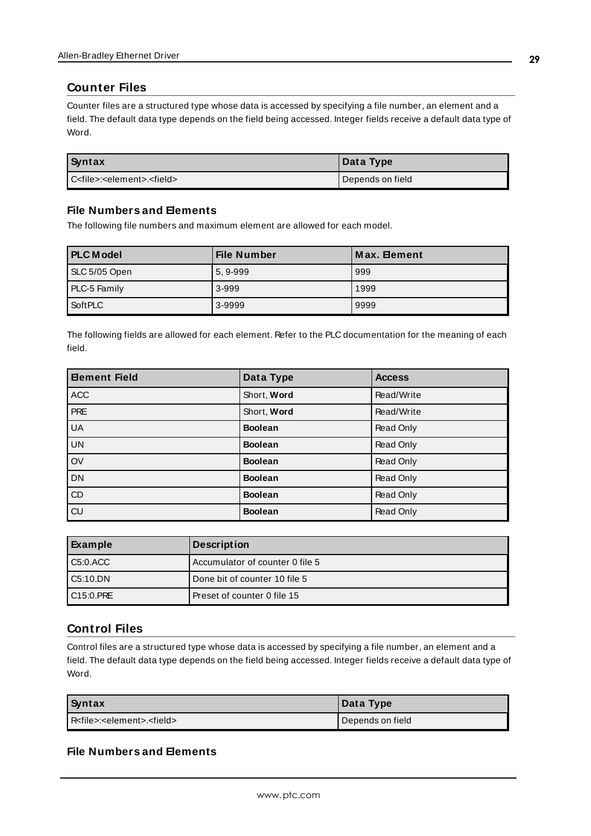#### <span id="page-28-0"></span>**Counter Files**

Counter files are a structured type whose data is accessed by specifying a file number, an element and a field. The default data type depends on the field being accessed. Integer fields receive a default data type of Word.

| Syntax                                                | Data Type        |
|-------------------------------------------------------|------------------|
| l C <file>:<element>.<field></field></element></file> | Depends on field |

#### **File Numbers and Elements**

The following file numbers and maximum element are allowed for each model.

| <b>PLC Model</b> | <b>File Number</b> | Max. Element |
|------------------|--------------------|--------------|
| SLC 5/05 Open    | 5, 9-999           | 999          |
| PLC-5 Family     | 3-999              | 1999         |
| SoftPLC          | 3-9999             | 9999         |

The following fields are allowed for each element. Refer to the PLC documentation for the meaning of each field.

| <b>Bement Field</b> | Data Type      | <b>Access</b> |
|---------------------|----------------|---------------|
| <b>ACC</b>          | Short, Word    | Read/Write    |
| <b>PRE</b>          | Short, Word    | Read/Write    |
| <b>UA</b>           | <b>Boolean</b> | Read Only     |
| UN                  | <b>Boolean</b> | Read Only     |
| $\overline{ov}$     | <b>Boolean</b> | Read Only     |
| DN                  | <b>Boolean</b> | Read Only     |
| $\overline{CD}$     | <b>Boolean</b> | Read Only     |
| $\overline{c}$      | <b>Boolean</b> | Read Only     |

| Example   | <b>Description</b>              |
|-----------|---------------------------------|
| C5:0.ACC  | Accumulator of counter 0 file 5 |
| LC5:10.DN | Done bit of counter 10 file 5   |
| C15:0.PRE | Preset of counter 0 file 15     |

### <span id="page-28-1"></span>**Control Files**

Control files are a structured type whose data is accessed by specifying a file number, an element and a field. The default data type depends on the field being accessed. Integer fields receive a default data type of Word.

| Syntax                                              | Data Type        |
|-----------------------------------------------------|------------------|
| R <file>:<element>.<field></field></element></file> | Depends on field |

#### **File Numbers and Elements**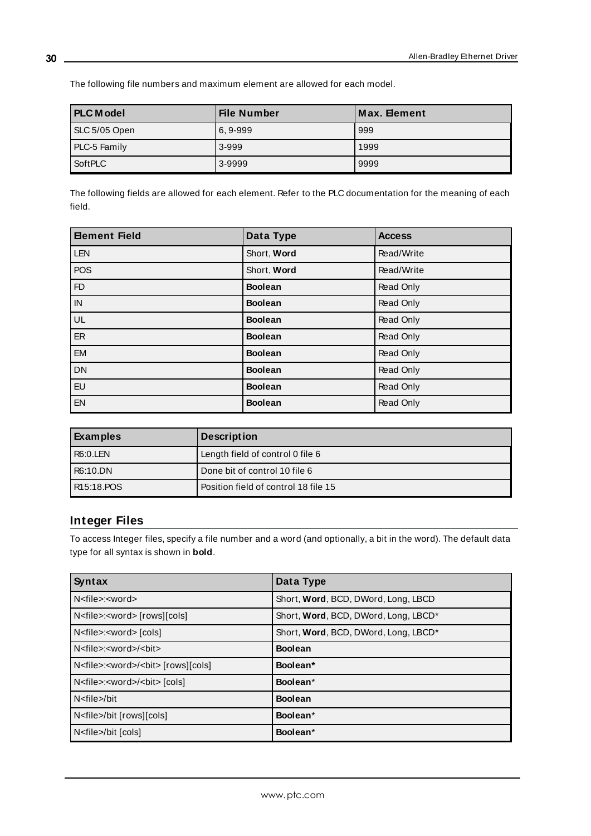**PLC M odel File Number M ax. Element** SLC 5/05 Open 6, 9-999 999 PLC-5 Family 2-999 3-999 2001 SoftPLC 3-9999 9999 9999

The following file numbers and maximum element are allowed for each model.

The following fields are allowed for each element. Refer to the PLC documentation for the meaning of each field.

| <b>Element Field</b> | Data Type      | <b>Access</b>    |
|----------------------|----------------|------------------|
| <b>LEN</b>           | Short, Word    | Read/Write       |
| <b>POS</b>           | Short, Word    | Read/Write       |
| FD                   | <b>Boolean</b> | Read Only        |
| IN                   | <b>Boolean</b> | Read Only        |
| UL                   | <b>Boolean</b> | Read Only        |
| ER                   | <b>Boolean</b> | Read Only        |
| <b>EM</b>            | <b>Boolean</b> | <b>Read Only</b> |
| <b>DN</b>            | <b>Boolean</b> | Read Only        |
| EU                   | <b>Boolean</b> | Read Only        |
| EN                   | <b>Boolean</b> | Read Only        |

| Examples               | <b>Description</b>                   |
|------------------------|--------------------------------------|
| <b>R6:0.LEN</b>        | Length field of control 0 file 6     |
| R6:10.DN               | Done bit of control 10 file 6        |
| R <sub>15:18</sub> POS | Position field of control 18 file 15 |

# <span id="page-29-0"></span>**Integer Files**

To access Integer files, specify a file number and a word (and optionally, a bit in the word). The default data type for all syntax is shown in **bold**.

| Syntax                                                 | Data Type                            |
|--------------------------------------------------------|--------------------------------------|
| N <file>:<word></word></file>                          | Short, Word, BCD, DWord, Long, LBCD  |
| N <file>:<word> [rows][cols]</word></file>             | Short, Word, BCD, DWord, Long, LBCD* |
| N <file>:<word>[cols]</word></file>                    | Short, Word, BCD, DWord, Long, LBCD* |
| N <file>:<word>/<bit></bit></word></file>              | <b>Boolean</b>                       |
| N <file>:<word>/<bit> [rows][cols]</bit></word></file> | Boolean*                             |
| N <file>:<word>/<br/><br/>cols]</word></file>          | Boolean*                             |
| N <file>/bit</file>                                    | <b>Boolean</b>                       |
| N <file>/bit [rows][cols]</file>                       | Boolean*                             |
| N <file>/bit [cols]</file>                             | Boolean*                             |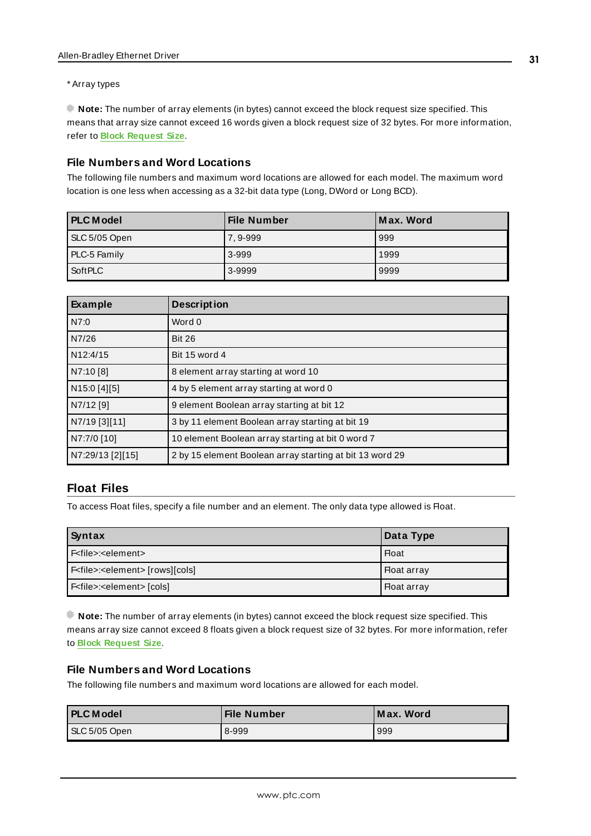#### \* Array types

**Note:** The number of array elements (in bytes) cannot exceed the block request size specified. This means that array size cannot exceed 16 words given a block request size of 32 bytes. For more information, refer to **Block Request Size**.

#### **File Numbers and Word Locations**

The following file numbers and maximum word locations are allowed for each model. The maximum word location is one less when accessing as a 32-bit data type (Long, DWord or Long BCD).

| <b>PLC</b> Model | <b>File Number</b> | Max. Word |
|------------------|--------------------|-----------|
| SLC 5/05 Open    | 7.9-999            | 999       |
| PLC-5 Family     | 3-999              | 1999      |
| SoftPLC          | 3-9999             | 9999      |

| Example               | <b>Description</b>                                       |
|-----------------------|----------------------------------------------------------|
| N7:0                  | Word 0                                                   |
| N7/26                 | <b>Bit 26</b>                                            |
| N <sub>12:4</sub> /15 | Bit 15 word 4                                            |
| N7:10 [8]             | 8 element array starting at word 10                      |
| N15:0 [4][5]          | 4 by 5 element array starting at word 0                  |
| N7/12 [9]             | 9 element Boolean array starting at bit 12               |
| N7/19 [3][11]         | 3 by 11 element Boolean array starting at bit 19         |
| N7:7/0 [10]           | 10 element Boolean array starting at bit 0 word 7        |
| N7:29/13 [2][15]      | 2 by 15 element Boolean array starting at bit 13 word 29 |

# <span id="page-30-0"></span>**Float Files**

To access Float files, specify a file number and an element. The only data type allowed is Float.

| Syntax                                           | Data Type          |
|--------------------------------------------------|--------------------|
| F <file>:<element></element></file>              | <b>Float</b>       |
| F <file>:<element> [rows][cols]</element></file> | I Float array      |
| F <file>:<element> [cols]</element></file>       | <b>Float array</b> |

**Note:** The number of array elements (in bytes) cannot exceed the block request size specified. This means array size cannot exceed 8 floats given a block request size of 32 bytes. For more information, refer to **Block Request Size**.

#### **File Numbers and Word Locations**

The following file numbers and maximum word locations are allowed for each model.

| <b>PLC Model</b> | <b>File Number</b> | Max. Word |
|------------------|--------------------|-----------|
| SLC 5/05 Open    | 8-999              | 999       |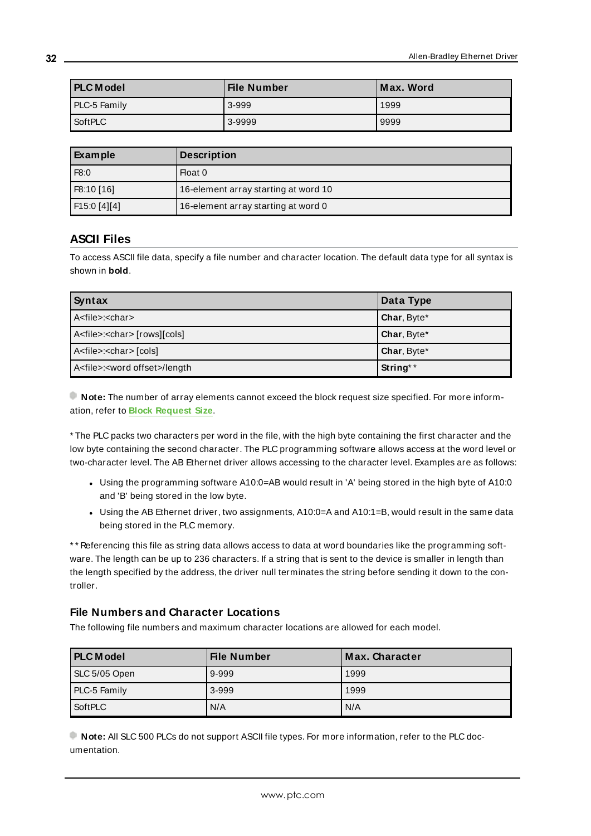| <b>PLC Model</b> | <b>File Number</b> | Max. Word |
|------------------|--------------------|-----------|
| PLC-5 Family     | 3-999              | 1999      |
| <b>SoftPLC</b>   | 3-9999             | 9999      |

| Example      | <b>Description</b>                   |
|--------------|--------------------------------------|
| F8:0         | Float 0                              |
| F8:10 [16]   | 16-element array starting at word 10 |
| F15:0 [4][4] | 16-element array starting at word 0  |

# <span id="page-31-0"></span>**ASCII Files**

To access ASCII file data, specify a file number and character location. The default data type for all syntax is shown in **bold**.

| Syntax                                         | Data Type   |
|------------------------------------------------|-------------|
| A <file>:<char></char></file>                  | Char, Byte* |
| A <file>:<char> [rows][cols]</char></file>     | Char, Byte* |
| A <file>:<char>[cols]</char></file>            | Char, Byte* |
| A <file>:<word offset="">/length</word></file> | String**    |

**Note:** The number of array elements cannot exceed the block request size specified. For more information, refer to **Block Request Size**.

\* The PLC packs two characters per word in the file, with the high byte containing the first character and the low byte containing the second character. The PLC programming software allows access at the word level or two-character level. The AB Ethernet driver allows accessing to the character level. Examples are as follows:

- Using the programming software A10:0=AB would result in 'A' being stored in the high byte of A10:0 and 'B' being stored in the low byte.
- Using the AB Ethernet driver, two assignments, A10:0=A and A10:1=B, would result in the same data being stored in the PLC memory.

\* \* Referencing this file as string data allows access to data at word boundaries like the programming software. The length can be up to 236 characters. If a string that is sent to the device is smaller in length than the length specified by the address, the driver null terminates the string before sending it down to the controller.

#### **File Numbers and Character Locations**

The following file numbers and maximum character locations are allowed for each model.

| <b>PLC</b> Model | File Number | Max. Character |
|------------------|-------------|----------------|
| SLC 5/05 Open    | 9-999       | 1999           |
| PLC-5 Family     | 3-999       | 1999           |
| SoftPLC          | N/A         | N/A            |

**Note:** All SLC 500 PLCs do not support ASCII file types. For more information, refer to the PLC documentation.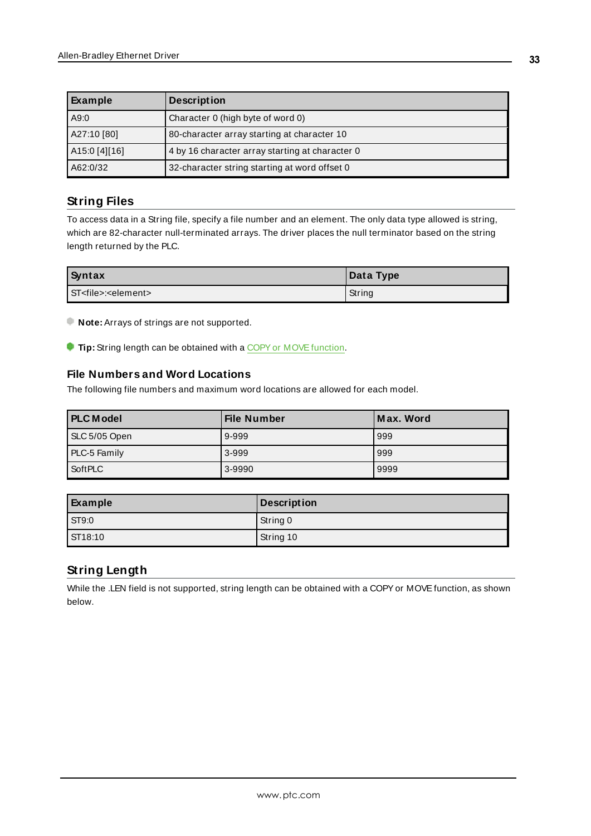| Example       | <b>Description</b>                              |
|---------------|-------------------------------------------------|
| A9:0          | Character 0 (high byte of word 0)               |
| A27:10 [80]   | 80-character array starting at character 10     |
| A15:0 [4][16] | 4 by 16 character array starting at character 0 |
| A62:0/32      | 32-character string starting at word offset 0   |

# <span id="page-32-0"></span>**String Files**

To access data in a String file, specify a file number and an element. The only data type allowed is string, which are 82-character null-terminated arrays. The driver places the null terminator based on the string length returned by the PLC.

| Syntax                                 | Data Type |
|----------------------------------------|-----------|
| l ST <file>:<element></element></file> | String    |

**Note:** Arrays of strings are not supported.

**Tip:** String length can be obtained with a COPY or MOVE function.

## **File Numbers and Word Locations**

The following file numbers and maximum word locations are allowed for each model.

| <b>PLC Model</b> | <b>File Number</b> | Max. Word |
|------------------|--------------------|-----------|
| SLC 5/05 Open    | 9-999              | 999       |
| PLC-5 Family     | 3-999              | 999       |
| SoftPLC          | 3-9990             | 9999      |

| Example      | <b>Description</b> |
|--------------|--------------------|
| <b>ST9:0</b> | String 0           |
| ST18:10      | String 10          |

# <span id="page-32-1"></span>**String Length**

While the .LEN field is not supported, string length can be obtained with a COPY or MOVE function, as shown below.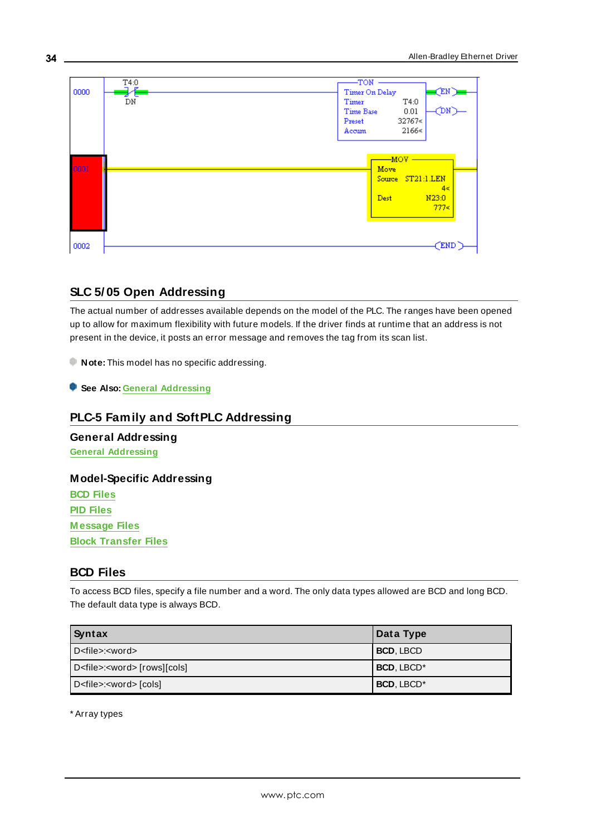

## <span id="page-33-0"></span>**SLC 5/ 05 Open Addressing**

The actual number of addresses available depends on the model of the PLC. The ranges have been opened up to allow for maximum flexibility with future models. If the driver finds at runtime that an address is not present in the device, it posts an error message and removes the tag from its scan list.

**Note:** This model has no specific addressing.

<span id="page-33-1"></span>**See Also: General [Addressing](#page-21-1)**

## **PLC-5 Family and SoftPLC Addressing**

**General Addressing General [Addressing](#page-21-1)**

#### **Model-Specific Addressing**

**BCD [Files](#page-33-2) PID [Files](#page-34-0) [M essage](#page-36-0) Files Block [Transfer](#page-37-0) Files**

## <span id="page-33-2"></span>**BCD Files**

To access BCD files, specify a file number and a word. The only data types allowed are BCD and long BCD. The default data type is always BCD.

| Syntax                                     | Data Type         |
|--------------------------------------------|-------------------|
| D <file>:<word></word></file>              | BCD, LBCD         |
| D <file>:<word> [rows][cols]</word></file> | <b>BCD, LBCD*</b> |
| D <file>:<word>[cols]</word></file>        | BCD, LBCD*        |

\* Array types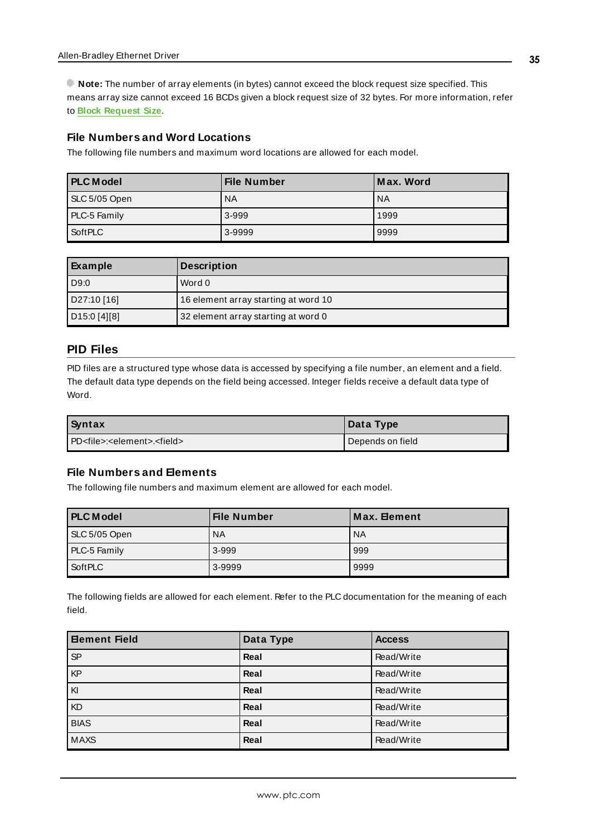**Note:** The number of array elements (in bytes) cannot exceed the block request size specified. This means array size cannot exceed 16 BCDs given a block request size of 32 bytes. For more information, refer to **Block Request Size**.

#### **File Numbers and Word Locations**

The following file numbers and maximum word locations are allowed for each model.

| <b>PLC</b> Model | <b>File Number</b> | Max. Word |
|------------------|--------------------|-----------|
| SLC 5/05 Open    | <b>NA</b>          | <b>NA</b> |
| PLC-5 Family     | 3-999              | 1999      |
| SoftPLC          | 3-9999             | 9999      |

| Example      | <b>Description</b>                   |
|--------------|--------------------------------------|
| D9:0         | Word 0                               |
| D27:10 [16]  | 16 element array starting at word 10 |
| D15:0 [4][8] | 32 element array starting at word 0  |

#### <span id="page-34-0"></span>**PID Files**

PID files are a structured type whose data is accessed by specifying a file number, an element and a field. The default data type depends on the field being accessed. Integer fields receive a default data type of Word.

| Syntax                                                 | Data Type        |
|--------------------------------------------------------|------------------|
| l PD <file>:<element>.<field></field></element></file> | Depends on field |

#### **File Numbers and Elements**

The following file numbers and maximum element are allowed for each model.

| <b>PLC Model</b> | <b>File Number</b> | Max. Element |
|------------------|--------------------|--------------|
| SLC 5/05 Open    | <b>NA</b>          | <b>NA</b>    |
| PLC-5 Family     | 3-999              | 999          |
| SoftPLC          | 3-9999             | 9999         |

The following fields are allowed for each element. Refer to the PLC documentation for the meaning of each field.

| <b>Bement Field</b>                                                                                                                                                                                                                                                                                                                                                                                                                                                                                                                   | Data Type | <b>Access</b> |
|---------------------------------------------------------------------------------------------------------------------------------------------------------------------------------------------------------------------------------------------------------------------------------------------------------------------------------------------------------------------------------------------------------------------------------------------------------------------------------------------------------------------------------------|-----------|---------------|
| SP                                                                                                                                                                                                                                                                                                                                                                                                                                                                                                                                    | Real      | Read/Write    |
| $\overline{KP}$                                                                                                                                                                                                                                                                                                                                                                                                                                                                                                                       | Real      | Read/Write    |
| $\overline{\overline{\mathsf{K}}\overline{\mathsf{K}}\overline{\mathsf{K}}\overline{\mathsf{K}}\overline{\mathsf{K}}\overline{\mathsf{K}}\overline{\mathsf{K}}\overline{\mathsf{K}}\overline{\mathsf{K}}\overline{\mathsf{K}}\overline{\mathsf{K}}\overline{\mathsf{K}}\overline{\mathsf{K}}\overline{\mathsf{K}}\overline{\mathsf{K}}\overline{\mathsf{K}}\overline{\mathsf{K}}\overline{\mathsf{K}}\overline{\mathsf{K}}\overline{\mathsf{K}}\overline{\mathsf{K}}\overline{\mathsf{K}}\overline{\mathsf{K}}\overline{\mathsf{K}}\$ | Real      | Read/Write    |
| KD                                                                                                                                                                                                                                                                                                                                                                                                                                                                                                                                    | Real      | Read/Write    |
| <b>BIAS</b>                                                                                                                                                                                                                                                                                                                                                                                                                                                                                                                           | Real      | Read/Write    |
| <b>MAXS</b>                                                                                                                                                                                                                                                                                                                                                                                                                                                                                                                           | Real      | Read/Write    |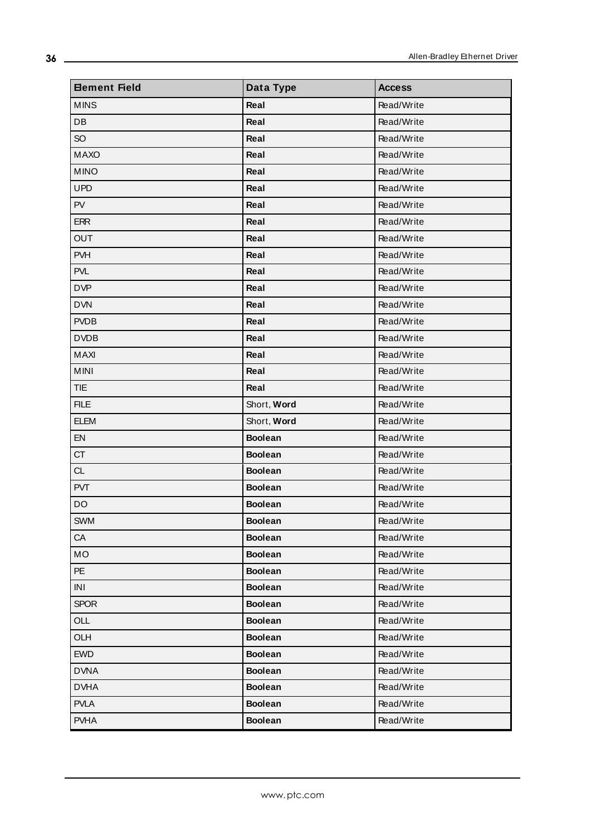| <b>Element Field</b> | Data Type      | <b>Access</b> |
|----------------------|----------------|---------------|
| <b>MINS</b>          | Real           | Read/Write    |
| DB                   | Real           | Read/Write    |
| SO <sub>1</sub>      | Real           | Read/Write    |
| <b>MAXO</b>          | Real           | Read/Write    |
| <b>MINO</b>          | Real           | Read/Write    |
| <b>UPD</b>           | Real           | Read/Write    |
| PV                   | Real           | Read/Write    |
| <b>ERR</b>           | Real           | Read/Write    |
| <b>OUT</b>           | Real           | Read/Write    |
| <b>PVH</b>           | Real           | Read/Write    |
| <b>PVL</b>           | Real           | Read/Write    |
| <b>DVP</b>           | Real           | Read/Write    |
| <b>DVN</b>           | Real           | Read/Write    |
| <b>PVDB</b>          | Real           | Read/Write    |
| <b>DVDB</b>          | Real           | Read/Write    |
| MAXI                 | Real           | Read/Write    |
| <b>MINI</b>          | Real           | Read/Write    |
| <b>TIE</b>           | Real           | Read/Write    |
| <b>FILE</b>          | Short, Word    | Read/Write    |
| <b>ELEM</b>          | Short, Word    | Read/Write    |
| EN                   | <b>Boolean</b> | Read/Write    |
| <b>CT</b>            | <b>Boolean</b> | Read/Write    |
| <b>CL</b>            | <b>Boolean</b> | Read/Write    |
| <b>PVT</b>           | <b>Boolean</b> | Read/Write    |
| DO                   | <b>Boolean</b> | Read/Write    |
| <b>SWM</b>           | <b>Boolean</b> | Read/Write    |
| CA                   | <b>Boolean</b> | Read/Write    |
| MO                   | <b>Boolean</b> | Read/Write    |
| PE                   | <b>Boolean</b> | Read/Write    |
| INI                  | <b>Boolean</b> | Read/Write    |
| <b>SPOR</b>          | <b>Boolean</b> | Read/Write    |
| OLL                  | <b>Boolean</b> | Read/Write    |
| OLH                  | <b>Boolean</b> | Read/Write    |
| <b>EWD</b>           | <b>Boolean</b> | Read/Write    |
| <b>DVNA</b>          | <b>Boolean</b> | Read/Write    |
| <b>DVHA</b>          | <b>Boolean</b> | Read/Write    |
| <b>PVLA</b>          | <b>Boolean</b> | Read/Write    |
| <b>PVHA</b>          | <b>Boolean</b> | Read/Write    |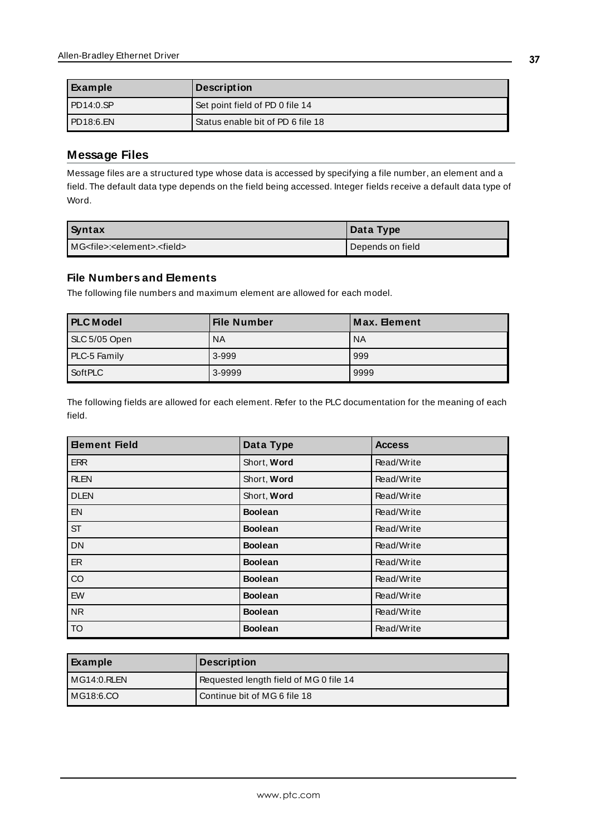| Example     | <b>Description</b>                |
|-------------|-----------------------------------|
| PDA4:0.SP   | Set point field of PD 0 file 14   |
| l PD18:6.EN | Status enable bit of PD 6 file 18 |

# <span id="page-36-0"></span>**Message Files**

Message files are a structured type whose data is accessed by specifying a file number, an element and a field. The default data type depends on the field being accessed. Integer fields receive a default data type of Word.

| Syntax                                                | Data Type        |
|-------------------------------------------------------|------------------|
| IMG <file>:<element>.<field></field></element></file> | Depends on field |

# **File Numbers and Elements**

The following file numbers and maximum element are allowed for each model.

| <b>PLC Model</b> | <b>File Number</b> | Max. Element |
|------------------|--------------------|--------------|
| SLC 5/05 Open    | <b>NA</b>          | <b>NA</b>    |
| PLC-5 Family     | 3-999              | 999          |
| SoftPLC          | 3-9999             | 9999         |

The following fields are allowed for each element. Refer to the PLC documentation for the meaning of each field.

| <b>Element Field</b> | Data Type      | <b>Access</b> |
|----------------------|----------------|---------------|
| <b>ERR</b>           | Short, Word    | Read/Write    |
| <b>RLEN</b>          | Short, Word    | Read/Write    |
| <b>DLEN</b>          | Short, Word    | Read/Write    |
| EN                   | <b>Boolean</b> | Read/Write    |
| <b>ST</b>            | <b>Boolean</b> | Read/Write    |
| <b>DN</b>            | <b>Boolean</b> | Read/Write    |
| <b>ER</b>            | <b>Boolean</b> | Read/Write    |
| CO                   | <b>Boolean</b> | Read/Write    |
| EW                   | <b>Boolean</b> | Read/Write    |
| <b>NR</b>            | <b>Boolean</b> | Read/Write    |
| TO <sub>1</sub>      | <b>Boolean</b> | Read/Write    |

| Example         | Description                            |
|-----------------|----------------------------------------|
| $IMG14:0.$ RLEN | Requested length field of MG 0 file 14 |
| MG18:6.CO       | Continue bit of MG 6 file 18           |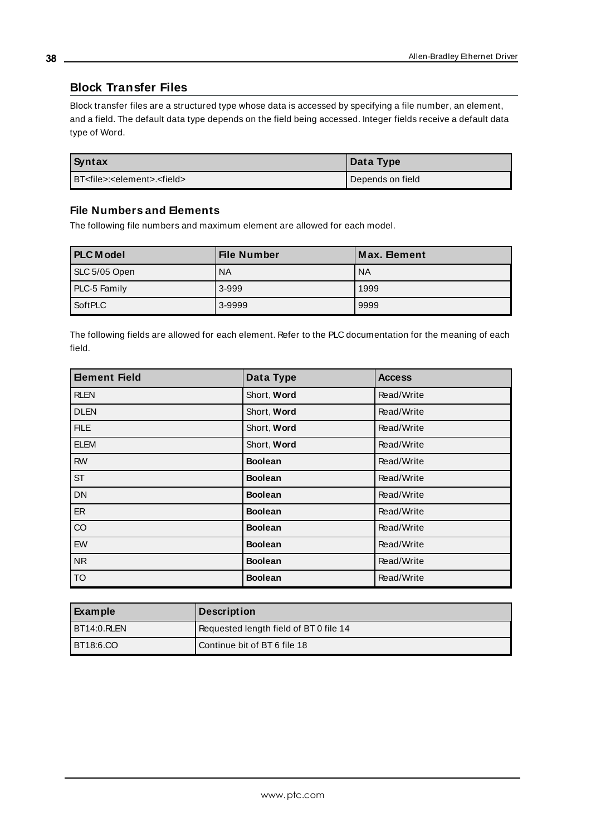## <span id="page-37-0"></span>**Block Transfer Files**

Block transfer files are a structured type whose data is accessed by specifying a file number, an element, and a field. The default data type depends on the field being accessed. Integer fields receive a default data type of Word.

| Syntax                                               | Data Type        |
|------------------------------------------------------|------------------|
| BT <file>:<element>.<field></field></element></file> | Depends on field |

#### **File Numbers and Elements**

The following file numbers and maximum element are allowed for each model.

| <b>PLC Model</b> | File Number | Max. Element |
|------------------|-------------|--------------|
| SLC 5/05 Open    | <b>NA</b>   | <b>NA</b>    |
| PLC-5 Family     | 3-999       | 1999         |
| SoftPLC          | 3-9999      | 9999         |

The following fields are allowed for each element. Refer to the PLC documentation for the meaning of each field.

| <b>Element Field</b> | Data Type      | <b>Access</b> |
|----------------------|----------------|---------------|
| <b>RLEN</b>          | Short, Word    | Read/Write    |
| <b>DLEN</b>          | Short, Word    | Read/Write    |
| <b>FILE</b>          | Short, Word    | Read/Write    |
| <b>ELEM</b>          | Short, Word    | Read/Write    |
| <b>RW</b>            | <b>Boolean</b> | Read/Write    |
| <b>ST</b>            | <b>Boolean</b> | Read/Write    |
| <b>DN</b>            | <b>Boolean</b> | Read/Write    |
| ER                   | <b>Boolean</b> | Read/Write    |
| CO                   | <b>Boolean</b> | Read/Write    |
| EW                   | <b>Boolean</b> | Read/Write    |
| <b>NR</b>            | <b>Boolean</b> | Read/Write    |
| <b>TO</b>            | <b>Boolean</b> | Read/Write    |

| Example     | <b>Description</b>                     |
|-------------|----------------------------------------|
| BT14:0.RLEN | Requested length field of BT 0 file 14 |
| BT18:6.CO   | Continue bit of BT6 file 18            |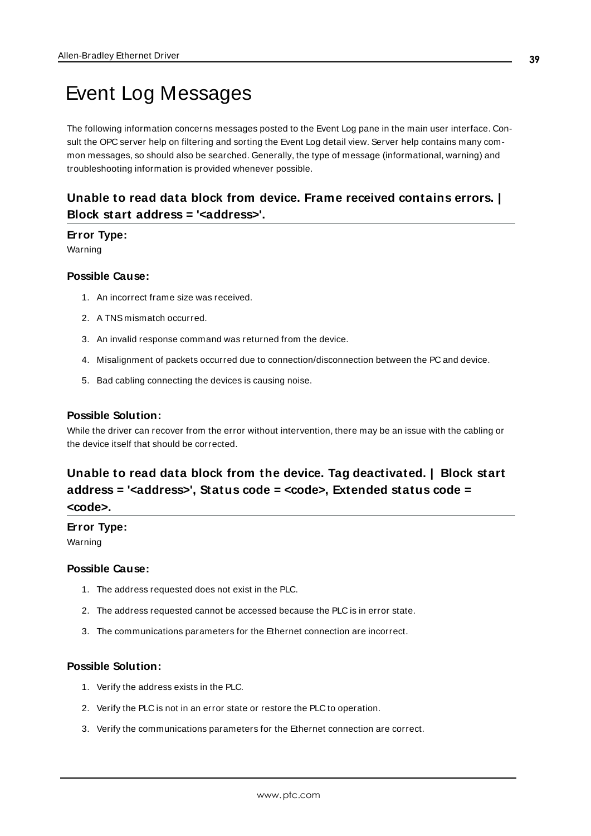# <span id="page-38-0"></span>Event Log Messages

The following information concerns messages posted to the Event Log pane in the main user interface. Consult the OPC server help on filtering and sorting the Event Log detail view. Server help contains many common messages, so should also be searched. Generally, the type of message (informational, warning) and troubleshooting information is provided whenever possible.

# <span id="page-38-1"></span>**Unable to read data block from device. Frame received contains errors. | Block start address = '<address>'.**

#### **Error Type:**

Warning

#### **Possible Cause:**

- 1. An incorrect frame size was received.
- 2. A TNS mismatch occurred.
- 3. An invalid response command was returned from the device.
- 4. Misalignment of packets occurred due to connection/disconnection between the PC and device.
- 5. Bad cabling connecting the devices is causing noise.

#### **Possible Solution:**

While the driver can recover from the error without intervention, there may be an issue with the cabling or the device itself that should be corrected.

# <span id="page-38-2"></span>**Unable to read data block from the device. Tag deactivated. | Block start address = '<address>', Status code = <code>, Extended status code = <code>.**

## **Error Type:**

Warning

#### **Possible Cause:**

- 1. The address requested does not exist in the PLC.
- 2. The address requested cannot be accessed because the PLC is in error state.
- 3. The communications parameters for the Ethernet connection are incorrect.

#### **Possible Solution:**

- 1. Verify the address exists in the PLC.
- 2. Verify the PLC is not in an error state or restore the PLC to operation.
- 3. Verify the communications parameters for the Ethernet connection are correct.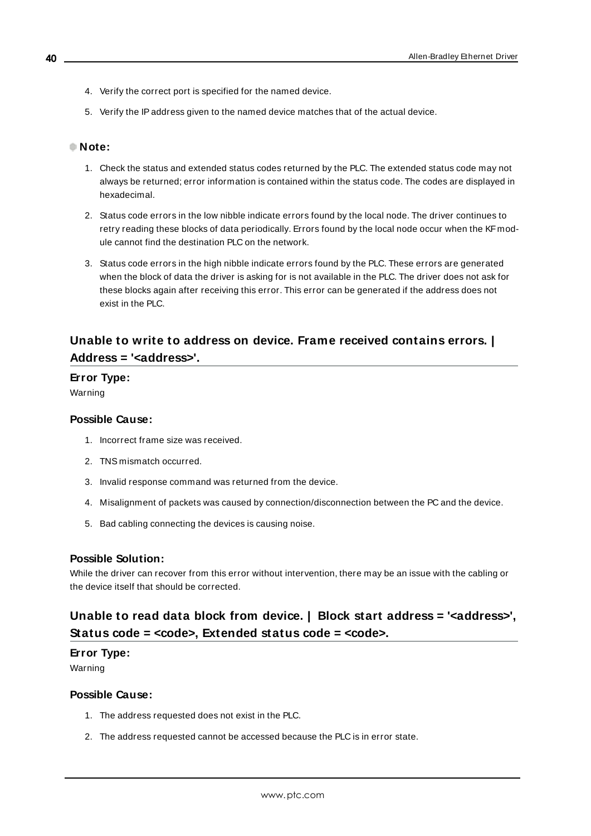- 4. Verify the correct port is specified for the named device.
- 5. Verify the IPaddress given to the named device matches that of the actual device.

#### **Note:**

- 1. Check the status and extended status codes returned by the PLC. The extended status code may not always be returned; error information is contained within the status code. The codes are displayed in hexadecimal.
- 2. Status code errors in the low nibble indicate errors found by the local node. The driver continues to retry reading these blocks of data periodically. Errors found by the local node occur when the KF module cannot find the destination PLC on the network.
- 3. Status code errors in the high nibble indicate errors found by the PLC. These errors are generated when the block of data the driver is asking for is not available in the PLC. The driver does not ask for these blocks again after receiving this error. This error can be generated if the address does not exist in the PLC.

# <span id="page-39-0"></span>**Unable to write to address on device. Frame received contains errors. | Address = '<address>'.**

# **Error Type:**

Warning

#### **Possible Cause:**

- 1. Incorrect frame size was received.
- 2. TNS mismatch occurred.
- 3. Invalid response command was returned from the device.
- 4. Misalignment of packets was caused by connection/disconnection between the PC and the device.
- 5. Bad cabling connecting the devices is causing noise.

#### **Possible Solution:**

While the driver can recover from this error without intervention, there may be an issue with the cabling or the device itself that should be corrected.

# <span id="page-39-1"></span>**Unable to read data block from device. | Block start address = '<address>', Status code = <code>, Extended status code = <code>.**

#### **Error Type:**

Warning

#### **Possible Cause:**

- 1. The address requested does not exist in the PLC.
- 2. The address requested cannot be accessed because the PLC is in error state.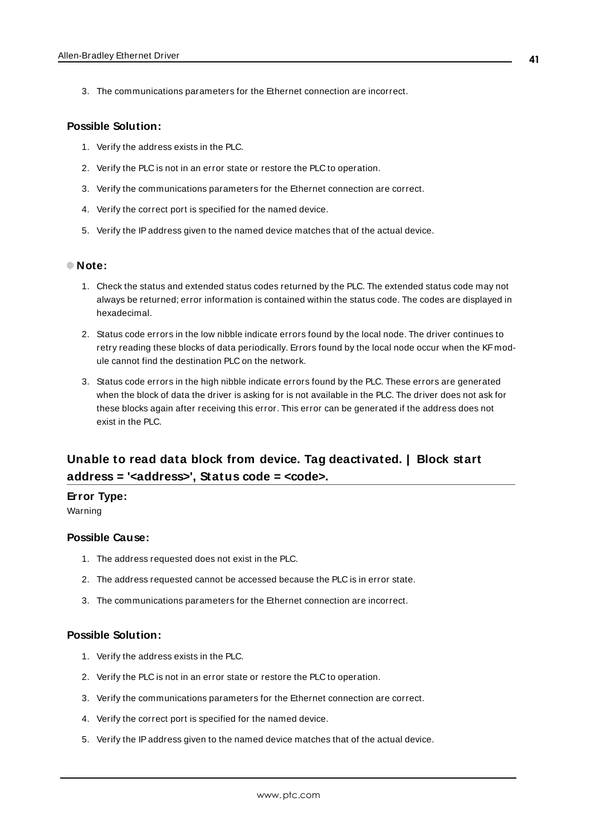3. The communications parameters for the Ethernet connection are incorrect.

#### **Possible Solution:**

- 1. Verify the address exists in the PLC.
- 2. Verify the PLC is not in an error state or restore the PLC to operation.
- 3. Verify the communications parameters for the Ethernet connection are correct.
- 4. Verify the correct port is specified for the named device.
- 5. Verify the IPaddress given to the named device matches that of the actual device.

#### **Note:**

- 1. Check the status and extended status codes returned by the PLC. The extended status code may not always be returned; error information is contained within the status code. The codes are displayed in hexadecimal.
- 2. Status code errors in the low nibble indicate errors found by the local node. The driver continues to retry reading these blocks of data periodically. Errors found by the local node occur when the KF module cannot find the destination PLC on the network.
- 3. Status code errors in the high nibble indicate errors found by the PLC. These errors are generated when the block of data the driver is asking for is not available in the PLC. The driver does not ask for these blocks again after receiving this error. This error can be generated if the address does not exist in the PLC.

# <span id="page-40-0"></span>**Unable to read data block from device. Tag deactivated. | Block start address = '<address>', Status code = <code>.**

#### **Error Type:**

Warning

#### **Possible Cause:**

- 1. The address requested does not exist in the PLC.
- 2. The address requested cannot be accessed because the PLC is in error state.
- 3. The communications parameters for the Ethernet connection are incorrect.

#### **Possible Solution:**

- 1. Verify the address exists in the PLC.
- 2. Verify the PLC is not in an error state or restore the PLC to operation.
- 3. Verify the communications parameters for the Ethernet connection are correct.
- 4. Verify the correct port is specified for the named device.
- 5. Verify the IPaddress given to the named device matches that of the actual device.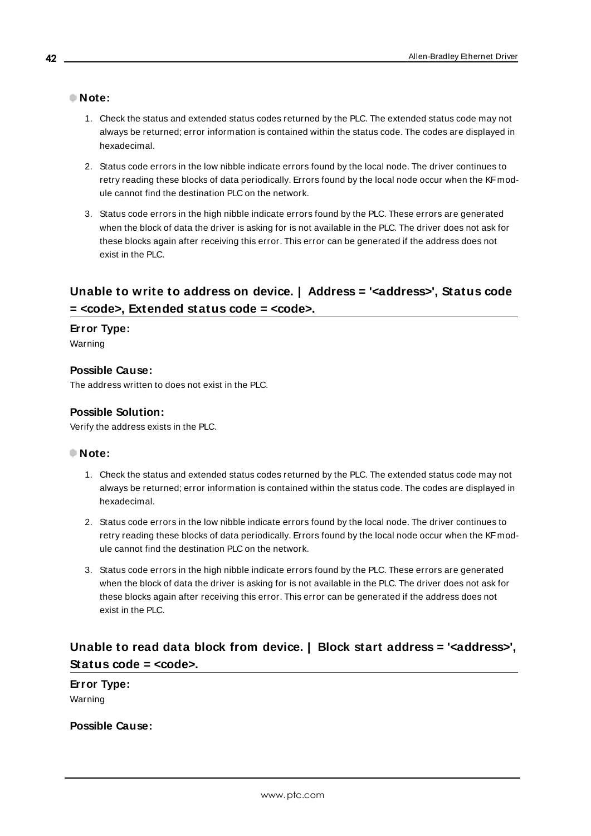#### **Note:**

- 1. Check the status and extended status codes returned by the PLC. The extended status code may not always be returned; error information is contained within the status code. The codes are displayed in hexadecimal.
- 2. Status code errors in the low nibble indicate errors found by the local node. The driver continues to retry reading these blocks of data periodically. Errors found by the local node occur when the KF module cannot find the destination PLC on the network.
- 3. Status code errors in the high nibble indicate errors found by the PLC. These errors are generated when the block of data the driver is asking for is not available in the PLC. The driver does not ask for these blocks again after receiving this error. This error can be generated if the address does not exist in the PLC.

# <span id="page-41-0"></span>**Unable to write to address on device. | Address = '<address>', Status code = <code>, Extended status code = <code>.**

#### **Error Type:**

Warning

### **Possible Cause:**

The address written to does not exist in the PLC.

#### **Possible Solution:**

Verify the address exists in the PLC.

#### **Note:**

- 1. Check the status and extended status codes returned by the PLC. The extended status code may not always be returned; error information is contained within the status code. The codes are displayed in hexadecimal.
- 2. Status code errors in the low nibble indicate errors found by the local node. The driver continues to retry reading these blocks of data periodically. Errors found by the local node occur when the KF module cannot find the destination PLC on the network.
- 3. Status code errors in the high nibble indicate errors found by the PLC. These errors are generated when the block of data the driver is asking for is not available in the PLC. The driver does not ask for these blocks again after receiving this error. This error can be generated if the address does not exist in the PLC.

# <span id="page-41-1"></span>**Unable to read data block from device. | Block start address = '<address>', Status code = <code>.**

**Error Type:** Warning

**Possible Cause:**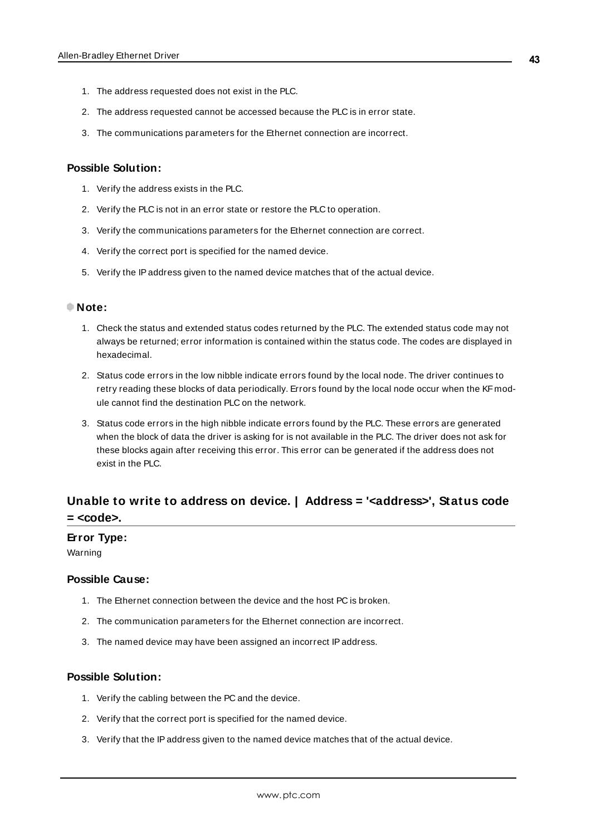- 1. The address requested does not exist in the PLC.
- 2. The address requested cannot be accessed because the PLC is in error state.
- 3. The communications parameters for the Ethernet connection are incorrect.

#### **Possible Solution:**

- 1. Verify the address exists in the PLC.
- 2. Verify the PLC is not in an error state or restore the PLC to operation.
- 3. Verify the communications parameters for the Ethernet connection are correct.
- 4. Verify the correct port is specified for the named device.
- 5. Verify the IPaddress given to the named device matches that of the actual device.

#### **Note:**

- 1. Check the status and extended status codes returned by the PLC. The extended status code may not always be returned; error information is contained within the status code. The codes are displayed in hexadecimal.
- 2. Status code errors in the low nibble indicate errors found by the local node. The driver continues to retry reading these blocks of data periodically. Errors found by the local node occur when the KF module cannot find the destination PLC on the network.
- 3. Status code errors in the high nibble indicate errors found by the PLC. These errors are generated when the block of data the driver is asking for is not available in the PLC. The driver does not ask for these blocks again after receiving this error. This error can be generated if the address does not exist in the PLC.

# <span id="page-42-0"></span>**Unable to write to address on device. | Address = '<address>', Status code = <code>.**

#### **Error Type:**

Warning

#### **Possible Cause:**

- 1. The Ethernet connection between the device and the host PC is broken.
- 2. The communication parameters for the Ethernet connection are incorrect.
- 3. The named device may have been assigned an incorrect IPaddress.

#### **Possible Solution:**

- 1. Verify the cabling between the PC and the device.
- 2. Verify that the correct port is specified for the named device.
- 3. Verify that the IPaddress given to the named device matches that of the actual device.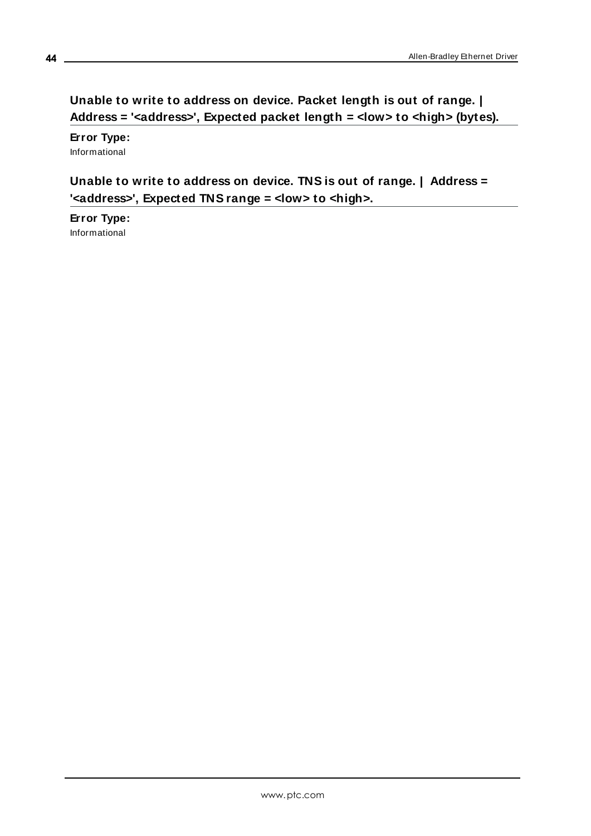# <span id="page-43-0"></span>**Unable to write to address on device. Packet length is out of range. | Address = '<address>', Expected packet length = <low> to <high> (bytes).**

**Error Type:** Informational

# <span id="page-43-1"></span>**Unable to write to address on device. TNS is out of range. | Address = '<address>', Expected TNS range = <low> to <high>.**

**Error Type:** Informational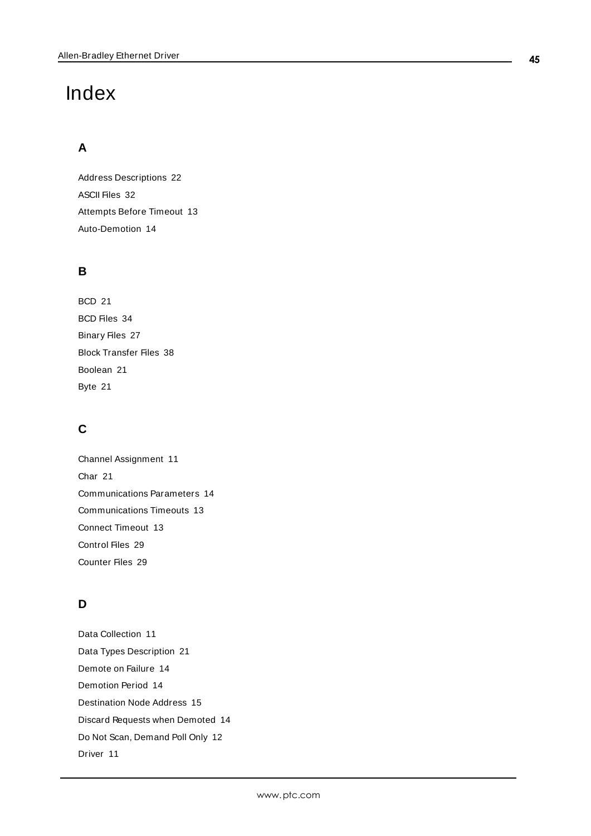# <span id="page-44-0"></span>Index

# **A**

Address Descriptions [22](#page-21-0) ASCII Files [32](#page-31-0) Attempts Before Timeout [13](#page-12-1) Auto-Demotion [14](#page-13-0)

# **B**

BCD [21](#page-20-1) BCD Files [34](#page-33-2) Binary Files [27](#page-26-0) Block Transfer Files [38](#page-37-0) Boolean [21](#page-20-2) Byte [21](#page-20-3)

# **C**

Channel Assignment [11](#page-10-2) Char [21](#page-20-4) Communications Parameters [14](#page-13-1) Communications Timeouts [13](#page-12-2) Connect Timeout [13](#page-12-3) Control Files [29](#page-28-1) Counter Files [29](#page-28-0)

# **D**

Data Collection [11](#page-10-3) Data Types Description [21](#page-20-0) Demote on Failure [14](#page-13-2) Demotion Period [14](#page-13-3) Destination Node Address [15](#page-14-2) Discard Requests when Demoted [14](#page-13-4) Do Not Scan, Demand Poll Only [12](#page-11-1) Driver [11](#page-10-4)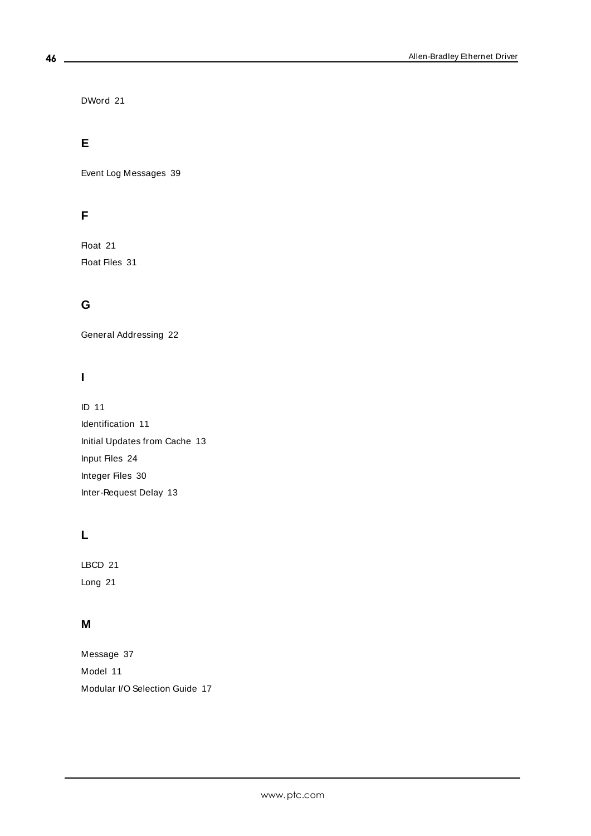DWord [21](#page-20-5)

# **E**

Event Log Messages [39](#page-38-0)

# **F**

Float [21](#page-20-6) Float Files [31](#page-30-0)

# **G**

General Addressing [22](#page-21-1)

# **I**

ID [11](#page-10-5) Identification [11](#page-10-0) Initial Updates from Cache [13](#page-12-4) Input Files [24](#page-23-0) Integer Files [30](#page-29-0) Inter-Request Delay [13](#page-12-5)

# **L**

LBCD [21](#page-20-7) Long [21](#page-20-8)

# **M**

Message [37](#page-36-0) Model [11](#page-10-6) Modular I/O Selection Guide [17](#page-16-0)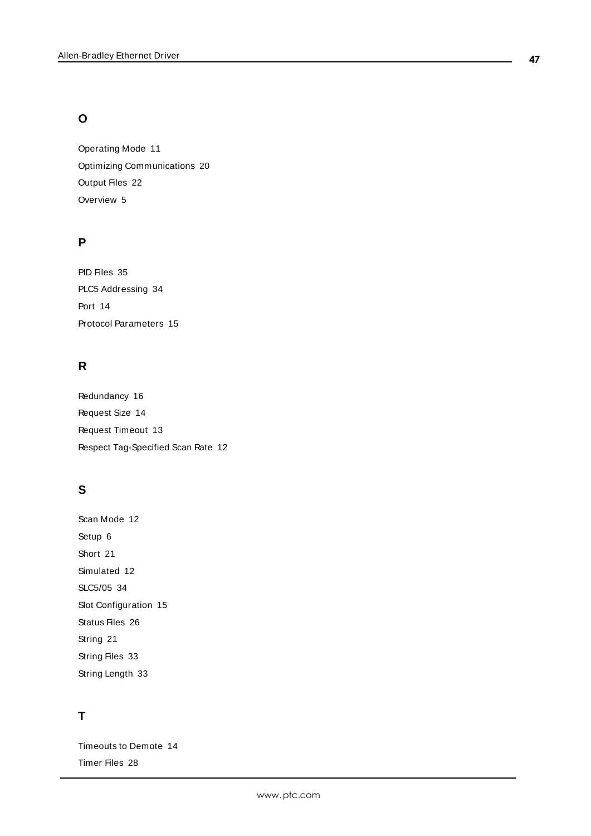# **O**

Operating Mode [11](#page-10-1) Optimizing Communications [20](#page-19-0) Output Files [22](#page-21-2) Overview [5](#page-4-0)

# **P**

PID Files [35](#page-34-0) PLC5 Addressing [34](#page-33-1) Port [14](#page-13-5) Protocol Parameters [15](#page-14-0)

# **R**

Redundancy [16](#page-15-0) Request Size [14](#page-13-6) Request Timeout [13](#page-12-6) Respect Tag-Specified Scan Rate [12](#page-11-2)

# **S**

Scan Mode [12](#page-11-3) Setup [6](#page-5-0) Short [21](#page-20-9) Simulated [12](#page-11-4) SLC5/05 [34](#page-33-0) Slot Configuration [15](#page-14-1) Status Files [26](#page-25-0) String [21](#page-20-10) String Files [33](#page-32-0) String Length [33](#page-32-1)

# **T**

Timeouts to Demote [14](#page-13-7) Timer Files [28](#page-27-0)